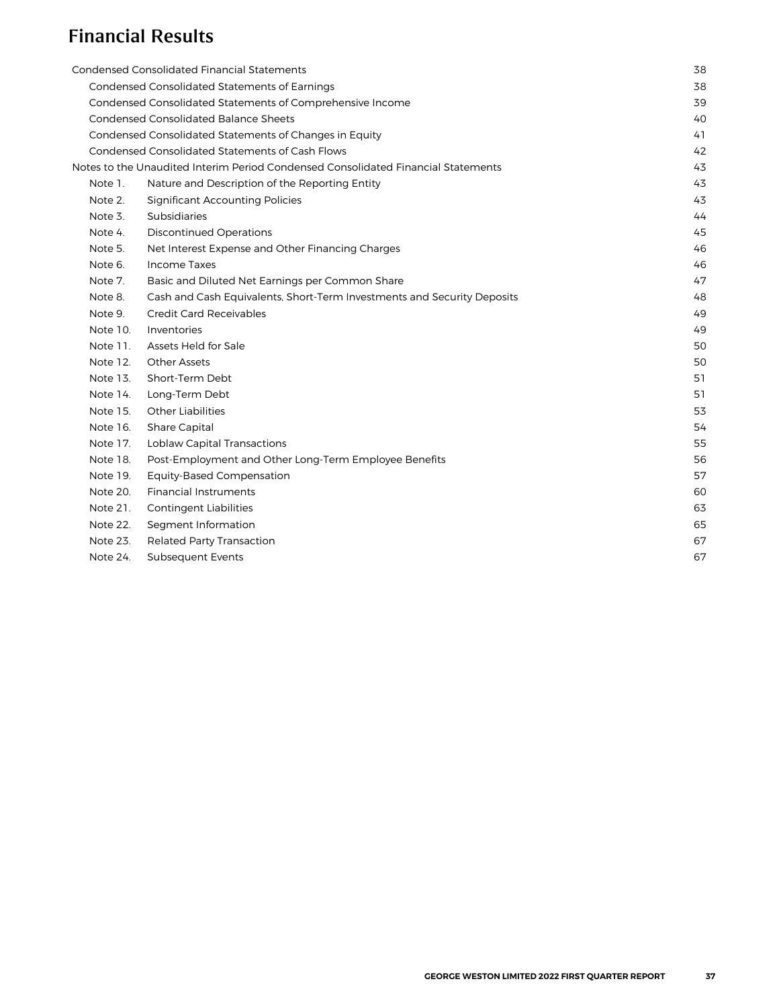# Financial Results

|          | Condensed Consolidated Financial Statements                                       | 38 |
|----------|-----------------------------------------------------------------------------------|----|
|          | Condensed Consolidated Statements of Earnings                                     | 38 |
|          | Condensed Consolidated Statements of Comprehensive Income                         | 39 |
|          | <b>Condensed Consolidated Balance Sheets</b>                                      | 40 |
|          | Condensed Consolidated Statements of Changes in Equity                            | 41 |
|          | <b>Condensed Consolidated Statements of Cash Flows</b>                            | 42 |
|          | Notes to the Unaudited Interim Period Condensed Consolidated Financial Statements | 43 |
| Note 1.  | Nature and Description of the Reporting Entity                                    | 43 |
| Note 2.  | <b>Significant Accounting Policies</b>                                            | 43 |
| Note 3.  | <b>Subsidiaries</b>                                                               | 44 |
| Note 4.  | <b>Discontinued Operations</b>                                                    | 45 |
| Note 5.  | Net Interest Expense and Other Financing Charges                                  | 46 |
| Note 6.  | Income Taxes                                                                      | 46 |
| Note 7.  | Basic and Diluted Net Earnings per Common Share                                   | 47 |
| Note 8.  | Cash and Cash Equivalents, Short-Term Investments and Security Deposits           | 48 |
| Note 9.  | <b>Credit Card Receivables</b>                                                    | 49 |
| Note 10. | Inventories                                                                       | 49 |
| Note 11. | Assets Held for Sale                                                              | 50 |
| Note 12. | <b>Other Assets</b>                                                               | 50 |
| Note 13. | Short-Term Debt                                                                   | 51 |
| Note 14. | Long-Term Debt                                                                    | 51 |
| Note 15. | <b>Other Liabilities</b>                                                          | 53 |
| Note 16. | Share Capital                                                                     | 54 |
| Note 17. | <b>Loblaw Capital Transactions</b>                                                | 55 |
| Note 18. | Post-Employment and Other Long-Term Employee Benefits                             | 56 |
| Note 19. | <b>Equity-Based Compensation</b>                                                  | 57 |
| Note 20. | <b>Financial Instruments</b>                                                      | 60 |
| Note 21. | <b>Contingent Liabilities</b>                                                     | 63 |
| Note 22. | Segment Information                                                               | 65 |
| Note 23. | <b>Related Party Transaction</b>                                                  | 67 |
| Note 24. | <b>Subsequent Events</b>                                                          | 67 |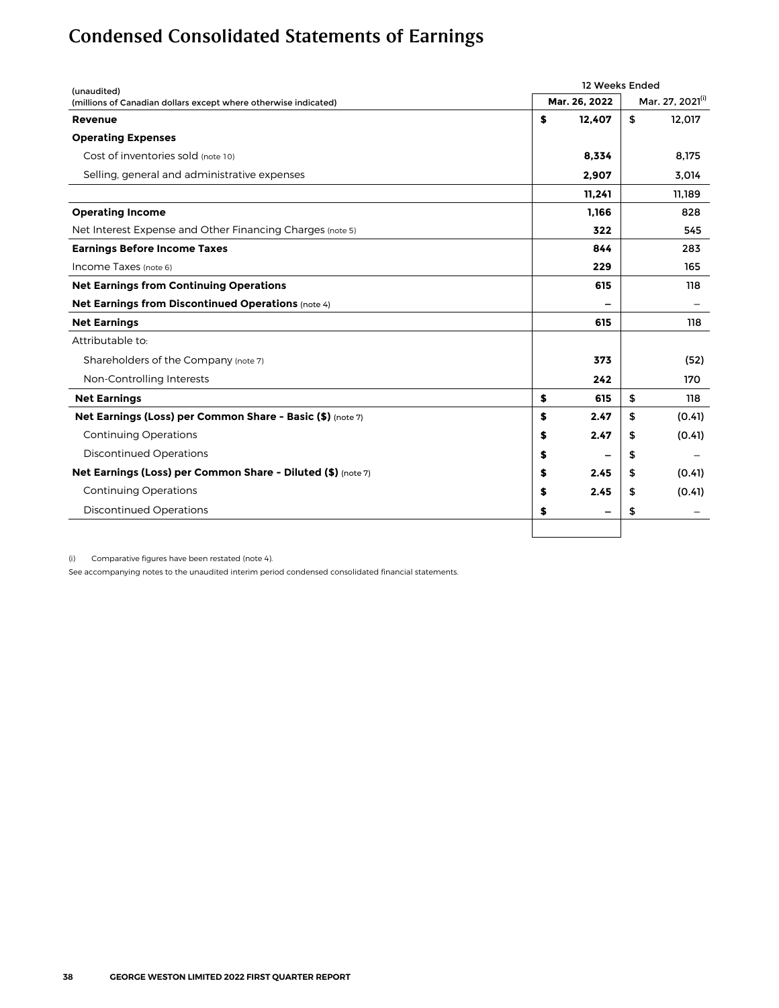# <span id="page-1-0"></span>Condensed Consolidated Statements of Earnings

| (unaudited)                                                     |    | 12 Weeks Ended |                              |
|-----------------------------------------------------------------|----|----------------|------------------------------|
| (millions of Canadian dollars except where otherwise indicated) |    | Mar. 26, 2022  | Mar. 27, 2021 <sup>(i)</sup> |
| Revenue                                                         | \$ | 12,407         | \$<br>12,017                 |
| <b>Operating Expenses</b>                                       |    |                |                              |
| Cost of inventories sold (note 10)                              |    | 8,334          | 8,175                        |
| Selling, general and administrative expenses                    |    | 2,907          | 3.014                        |
|                                                                 |    | 11,241         | 11.189                       |
| <b>Operating Income</b>                                         |    | 1,166          | 828                          |
| Net Interest Expense and Other Financing Charges (note 5)       |    | 322            | 545                          |
| <b>Earnings Before Income Taxes</b>                             |    | 844            | 283                          |
| Income Taxes (note 6)                                           |    | 229            | 165                          |
| <b>Net Earnings from Continuing Operations</b>                  |    | 615            | 118                          |
| <b>Net Earnings from Discontinued Operations (note 4)</b>       |    |                |                              |
| <b>Net Earnings</b>                                             |    | 615            | 118                          |
| Attributable to:                                                |    |                |                              |
| Shareholders of the Company (note 7)                            |    | 373            | (52)                         |
| Non-Controlling Interests                                       |    | 242            | 170                          |
| <b>Net Earnings</b>                                             | \$ | 615            | \$<br>118                    |
| Net Earnings (Loss) per Common Share - Basic (\$) (note 7)      | \$ | 2.47           | \$<br>(0.41)                 |
| <b>Continuing Operations</b>                                    | \$ | 2.47           | \$<br>(0.41)                 |
| <b>Discontinued Operations</b>                                  | \$ |                | \$                           |
| Net Earnings (Loss) per Common Share - Diluted (\$) (note 7)    | \$ | 2.45           | \$<br>(0.41)                 |
| <b>Continuing Operations</b>                                    | \$ | 2.45           | \$<br>(0.41)                 |
| <b>Discontinued Operations</b>                                  | \$ | -              | \$                           |
|                                                                 |    |                |                              |

(i) Comparative figures have been restated (note 4).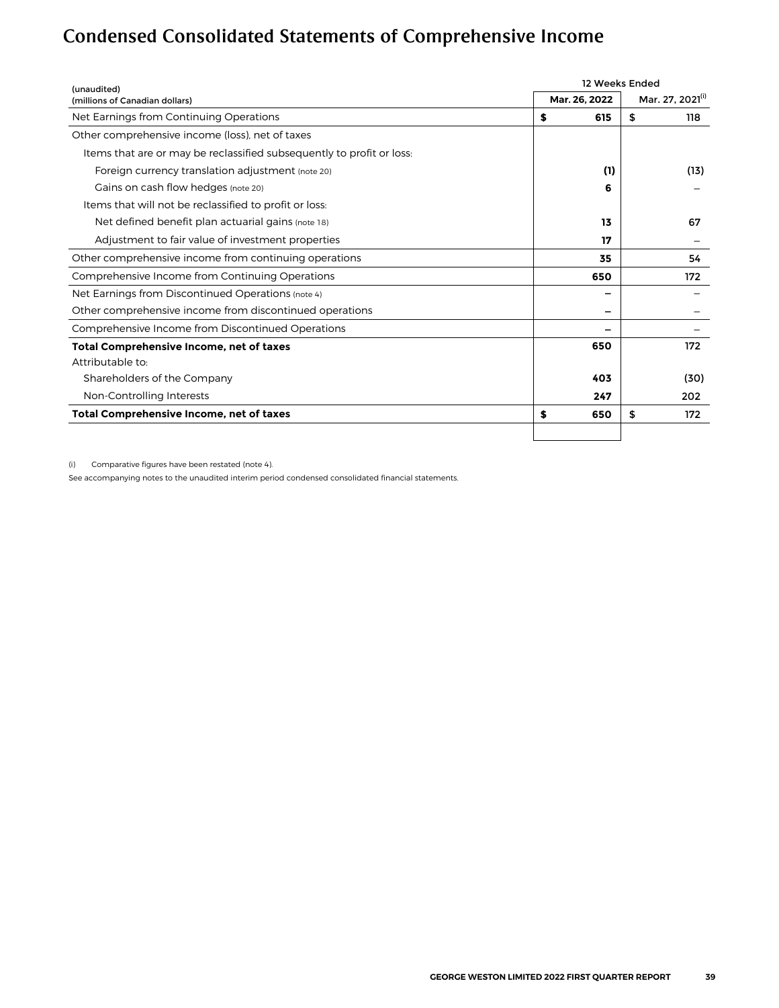# <span id="page-2-0"></span>Condensed Consolidated Statements of Comprehensive Income

| (unaudited)                                                           | 12 Weeks Ended |                  |
|-----------------------------------------------------------------------|----------------|------------------|
| (millions of Canadian dollars)                                        | Mar. 26, 2022  | Mar. 27, 2021(1) |
| Net Earnings from Continuing Operations                               | \$<br>615      | \$<br>118        |
| Other comprehensive income (loss), net of taxes                       |                |                  |
| Items that are or may be reclassified subsequently to profit or loss: |                |                  |
| Foreign currency translation adjustment (note 20)                     | (1)            | (13)             |
| Gains on cash flow hedges (note 20)                                   | 6              |                  |
| Items that will not be reclassified to profit or loss:                |                |                  |
| Net defined benefit plan actuarial gains (note 18)                    | 13             | 67               |
| Adjustment to fair value of investment properties                     | 17             |                  |
| Other comprehensive income from continuing operations                 | 35             | 54               |
| Comprehensive Income from Continuing Operations                       | 650            | 172              |
| Net Earnings from Discontinued Operations (note 4)                    |                |                  |
| Other comprehensive income from discontinued operations               |                |                  |
| Comprehensive Income from Discontinued Operations                     |                |                  |
| Total Comprehensive Income, net of taxes                              | 650            | 172              |
| Attributable to:                                                      |                |                  |
| Shareholders of the Company                                           | 403            | (30)             |
| Non-Controlling Interests                                             | 247            | 202              |
| Total Comprehensive Income, net of taxes                              | \$<br>650      | \$<br>172        |
|                                                                       |                |                  |

(i) Comparative figures have been restated (note 4).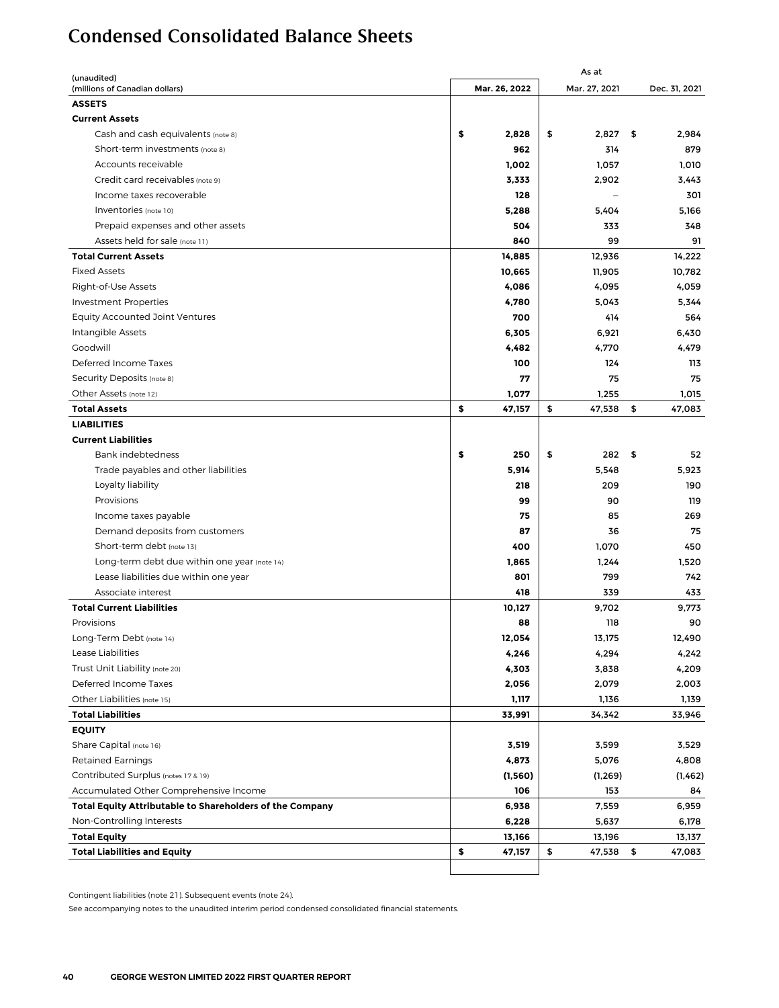# <span id="page-3-0"></span>Condensed Consolidated Balance Sheets

| (unaudited)                                              |               | As at         |     |               |
|----------------------------------------------------------|---------------|---------------|-----|---------------|
| (millions of Canadian dollars)                           | Mar. 26, 2022 | Mar. 27, 2021 |     | Dec. 31, 2021 |
| <b>ASSETS</b>                                            |               |               |     |               |
| <b>Current Assets</b>                                    |               |               |     |               |
| Cash and cash equivalents (note 8)                       | \$<br>2,828   | \$<br>2,827   | \$  | 2,984         |
| Short-term investments (note 8)                          | 962           | 314           |     | 879           |
| Accounts receivable                                      | 1,002         | 1,057         |     | 1,010         |
| Credit card receivables (note 9)                         | 3,333         | 2,902         |     | 3,443         |
| Income taxes recoverable                                 | 128           |               |     | 301           |
| Inventories (note 10)                                    | 5,288         | 5,404         |     | 5,166         |
| Prepaid expenses and other assets                        | 504           | 333           |     | 348           |
| Assets held for sale (note 11)                           | 840           | 99            |     | 91            |
| <b>Total Current Assets</b>                              | 14,885        | 12,936        |     | 14,222        |
| <b>Fixed Assets</b>                                      | 10,665        | 11,905        |     | 10,782        |
| Right-of-Use Assets                                      | 4,086         | 4,095         |     | 4,059         |
| <b>Investment Properties</b>                             | 4,780         | 5,043         |     | 5,344         |
| <b>Equity Accounted Joint Ventures</b>                   | 700           | 414           |     | 564           |
| Intangible Assets                                        | 6,305         | 6,921         |     | 6,430         |
| Goodwill                                                 | 4,482         | 4,770         |     | 4,479         |
| Deferred Income Taxes                                    | 100           | 124           |     | 113           |
| Security Deposits (note 8)                               | 77            | 75            |     | 75            |
| Other Assets (note 12)                                   | 1,077         | 1,255         |     | 1,015         |
| <b>Total Assets</b>                                      | \$<br>47,157  | \$<br>47,538  | \$  | 47,083        |
| <b>LIABILITIES</b>                                       |               |               |     |               |
| <b>Current Liabilities</b>                               |               |               |     |               |
| Bank indebtedness                                        | \$<br>250     | \$<br>282     | -\$ | 52            |
| Trade payables and other liabilities                     | 5,914         | 5,548         |     | 5,923         |
| Loyalty liability                                        | 218           | 209           |     | 190           |
| Provisions                                               | 99            | 90            |     | 119           |
| Income taxes payable                                     | 75            | 85            |     | 269           |
| Demand deposits from customers                           | 87            | 36            |     | 75            |
| Short-term debt (note 13)                                | 400           | 1,070         |     | 450           |
| Long-term debt due within one year (note 14)             | 1,865         | 1,244         |     | 1,520         |
| Lease liabilities due within one year                    | 801           | 799           |     | 742           |
| Associate interest                                       | 418           | 339           |     | 433           |
| <b>Total Current Liabilities</b>                         | 10,127        | 9,702         |     | 9,773         |
| Provisions                                               | 88            | 118           |     | 90            |
| Long-Term Debt (note 14)                                 | 12,054        | 13,175        |     | 12,490        |
| Lease Liabilities                                        | 4,246         | 4,294         |     | 4,242         |
| Trust Unit Liability (note 20)                           | 4,303         | 3,838         |     | 4,209         |
| Deferred Income Taxes                                    | 2,056         | 2,079         |     | 2,003         |
| Other Liabilities (note 15)                              | 1,117         | 1,136         |     | 1,139         |
| <b>Total Liabilities</b>                                 | 33,991        | 34,342        |     | 33,946        |
| <b>EQUITY</b>                                            |               |               |     |               |
| Share Capital (note 16)                                  | 3,519         | 3,599         |     | 3,529         |
| <b>Retained Earnings</b>                                 | 4,873         | 5,076         |     | 4,808         |
| Contributed Surplus (notes 17 & 19)                      | (1, 560)      | (1, 269)      |     | (1,462)       |
| Accumulated Other Comprehensive Income                   | 106           | 153           |     | 84            |
| Total Equity Attributable to Shareholders of the Company | 6,938         | 7,559         |     | 6,959         |
| Non-Controlling Interests                                | 6,228         | 5,637         |     | 6,178         |
| <b>Total Equity</b>                                      | 13,166        | 13,196        |     | 13,137        |
| <b>Total Liabilities and Equity</b>                      | \$<br>47,157  | \$<br>47,538  | \$  | 47,083        |
|                                                          |               |               |     |               |
|                                                          |               |               |     |               |

Contingent liabilities (note 21). Subsequent events (note 24).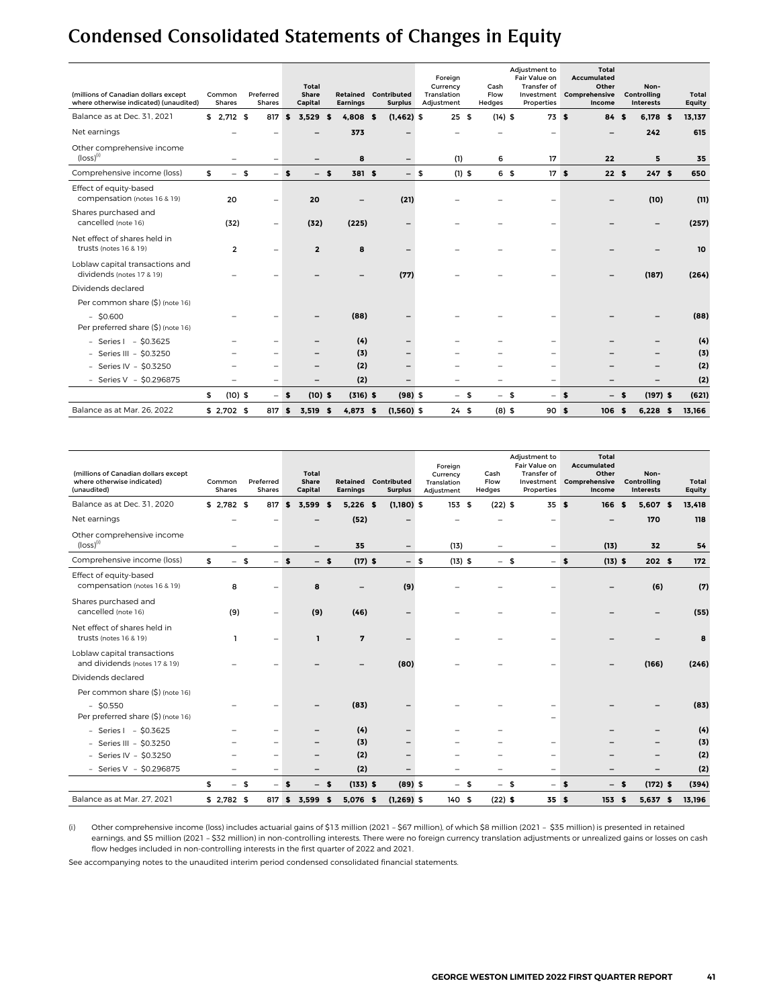# <span id="page-4-0"></span>Condensed Consolidated Statements of Changes in Equity

| (millions of Canadian dollars except<br>where otherwise indicated) (unaudited) | Common<br><b>Shares</b> |      | Preferred<br><b>Shares</b> | Total<br>Share<br>Capital | Retained<br><b>Earnings</b> |        | Contributed<br><b>Surplus</b> |      | Foreign<br>Currency<br>Translation<br>Adjustment |          | Cash<br>Flow<br>Hedges   | Adjustment to<br>Fair Value on<br>Transfer of<br>Investment<br>Properties |     | Total<br>Accumulated<br>Other<br>Comprehensive<br>Income |      | Non-<br>Controlling<br><b>Interests</b> | Total<br><b>Equity</b> |
|--------------------------------------------------------------------------------|-------------------------|------|----------------------------|---------------------------|-----------------------------|--------|-------------------------------|------|--------------------------------------------------|----------|--------------------------|---------------------------------------------------------------------------|-----|----------------------------------------------------------|------|-----------------------------------------|------------------------|
| Balance as at Dec. 31, 2021                                                    | $$2,712$ \$             |      | 817                        | \$<br>3.529               | $4.808$ \$<br>£.            |        | $(1,462)$ \$                  |      | 25S                                              |          | $(14)$ \$                | 73S                                                                       |     | 84 \$                                                    |      | 6,178 \$                                | 13,137                 |
| Net earnings                                                                   |                         |      |                            |                           | 373                         |        |                               |      |                                                  |          |                          |                                                                           |     |                                                          |      | 242                                     | 615                    |
| Other comprehensive income<br>$(logs)$ <sup>(i)</sup>                          |                         |      | $\overline{\phantom{0}}$   |                           | 8                           |        | -                             |      | (1)                                              |          | 6                        | 17                                                                        |     | 22                                                       |      | 5                                       | 35                     |
| Comprehensive income (loss)                                                    | \$                      | $-5$ | $-$ s                      | $-$ s                     |                             | 381 \$ |                               | $-5$ |                                                  | $(1)$ \$ | 6 <sup>5</sup>           | 17S                                                                       |     | 22S                                                      |      | 247S                                    | 650                    |
| Effect of equity-based<br>compensation (notes 16 & 19)                         | 20                      |      | $\overline{\phantom{0}}$   | 20                        |                             |        | (21)                          |      |                                                  |          |                          |                                                                           |     |                                                          |      | (10)                                    | (11)                   |
| Shares purchased and<br>cancelled (note 16)                                    | (32)                    |      | $\qquad \qquad -$          | (32)                      | (225)                       |        |                               |      |                                                  |          |                          |                                                                           |     |                                                          |      |                                         | (257)                  |
| Net effect of shares held in<br>trusts (notes 16 & 19)                         | $\overline{2}$          |      | $\overline{\phantom{0}}$   | $\overline{2}$            | 8                           |        |                               |      |                                                  |          |                          |                                                                           |     |                                                          |      |                                         | 10                     |
| Loblaw capital transactions and<br>dividends (notes 17 & 19)                   |                         |      |                            |                           |                             |        | (77)                          |      |                                                  |          |                          |                                                                           |     |                                                          |      | (187)                                   | (264)                  |
| Dividends declared                                                             |                         |      |                            |                           |                             |        |                               |      |                                                  |          |                          |                                                                           |     |                                                          |      |                                         |                        |
| Per common share (\$) (note 16)                                                |                         |      |                            |                           |                             |        |                               |      |                                                  |          |                          |                                                                           |     |                                                          |      |                                         |                        |
| $-$ \$0.600<br>Per preferred share (\$) (note 16)                              |                         |      |                            |                           | (88)                        |        |                               |      |                                                  |          |                          |                                                                           |     |                                                          |      |                                         | (88)                   |
| - Series $1 - $0.3625$                                                         |                         |      |                            |                           | (4)                         |        | -                             |      |                                                  |          |                          |                                                                           |     |                                                          |      |                                         | (4)                    |
| - Series III - \$0.3250                                                        |                         |      |                            |                           | (3)                         |        |                               |      |                                                  |          |                          | -                                                                         |     |                                                          |      |                                         | (3)                    |
| - Series IV - \$0.3250                                                         |                         |      |                            |                           | (2)                         |        |                               |      |                                                  |          |                          |                                                                           |     |                                                          |      |                                         | (2)                    |
| - Series V - $$0.296875$                                                       |                         |      | $\qquad \qquad -$          | $\overline{\phantom{0}}$  | (2)                         |        |                               |      |                                                  |          | $\overline{\phantom{0}}$ | $\qquad \qquad -$                                                         |     |                                                          |      | $\overline{\phantom{0}}$                | (2)                    |
|                                                                                | \$<br>$(10)$ \$         |      | $-5$                       | $(10)$ \$                 | $(316)$ \$                  |        | $(98)$ \$                     |      |                                                  | $-5$     | $-5$                     | $\overline{\phantom{0}}$                                                  | - 5 | -                                                        | \$   | $(197)$ \$                              | (621)                  |
| Balance as at Mar. 26, 2022                                                    | $$2,702$ \$             |      | 817 \$                     | $3.519$ \$                | $4,873$ \$                  |        | $(1,560)$ \$                  |      | 24S                                              |          | $(8)$ \$                 | 90S                                                                       |     | 106                                                      | - \$ | $6,228$ \$                              | 13,166                 |

| (millions of Canadian dollars except<br>where otherwise indicated)<br>(unaudited) | Common<br><b>Shares</b> |      | Preferred<br><b>Shares</b> |       | <b>Total</b><br>Share<br>Capital | Retained<br><b>Earnings</b> |      | Contributed<br><b>Surplus</b> |      | Foreign<br>Currency<br>Translation<br>Adjustment |      | Cash<br>Flow<br>Hedges | Adjustment to<br>Fair Value on<br><b>Transfer of</b><br>Investment<br>Properties |      | Total<br>Accumulated<br>Other<br>Comprehensive<br>Income |      | Non-<br>Controlling<br><b>Interests</b> | Total<br><b>Equity</b> |
|-----------------------------------------------------------------------------------|-------------------------|------|----------------------------|-------|----------------------------------|-----------------------------|------|-------------------------------|------|--------------------------------------------------|------|------------------------|----------------------------------------------------------------------------------|------|----------------------------------------------------------|------|-----------------------------------------|------------------------|
| Balance as at Dec. 31, 2020                                                       | $$2,782$ \$             |      | 817                        | \$    | 3,599<br>\$                      | $5,226$ \$                  |      | $(1,180)$ \$                  |      | 153S                                             |      | $(22)$ \$              | 35S                                                                              |      | 166                                                      | - \$ | 5.607 \$                                | 13,418                 |
| Net earnings                                                                      |                         |      |                            |       |                                  | (52)                        |      |                               |      |                                                  |      |                        | $\overline{\phantom{0}}$                                                         |      |                                                          |      | 170                                     | 118                    |
| Other comprehensive income<br>$(logs)$ <sup>(i)</sup>                             |                         |      | $\overline{\phantom{0}}$   |       |                                  | 35                          |      | $\qquad \qquad -$             |      | (13)                                             |      | -                      | $\overline{\phantom{0}}$                                                         |      | (13)                                                     |      | 32                                      | 54                     |
| Comprehensive income (loss)                                                       | \$                      | $-5$ |                            | $-$ s | $-5$                             | $(17)$ \$                   |      |                               | $-5$ | $(13)$ \$                                        |      | $-5$                   |                                                                                  | $-5$ | $(13)$ \$                                                |      | 202S                                    | 172                    |
| Effect of equity-based<br>compensation (notes 16 & 19)                            | 8                       |      |                            |       | 8                                |                             |      | (9)                           |      |                                                  |      |                        |                                                                                  |      |                                                          |      | (6)                                     | (7)                    |
| Shares purchased and<br>cancelled (note 16)                                       | (9)                     |      | $\qquad \qquad -$          |       | (9)                              | (46)                        |      |                               |      |                                                  |      |                        |                                                                                  |      |                                                          |      |                                         | (55)                   |
| Net effect of shares held in<br>trusts (notes 16 & 19)                            | L.                      |      | $\overline{\phantom{0}}$   |       | ı                                | $\overline{7}$              |      |                               |      |                                                  |      |                        |                                                                                  |      |                                                          |      |                                         | 8                      |
| Loblaw capital transactions<br>and dividends (notes 17 & 19)                      |                         |      |                            |       |                                  |                             |      | (80)                          |      |                                                  |      |                        |                                                                                  |      |                                                          |      | (166)                                   | (246)                  |
| Dividends declared                                                                |                         |      |                            |       |                                  |                             |      |                               |      |                                                  |      |                        |                                                                                  |      |                                                          |      |                                         |                        |
| Per common share (\$) (note 16)                                                   |                         |      |                            |       |                                  |                             |      |                               |      |                                                  |      |                        |                                                                                  |      |                                                          |      |                                         |                        |
| $-$ \$0.550<br>Per preferred share (\$) (note 16)                                 |                         |      |                            |       |                                  | (83)                        |      |                               |      |                                                  |      |                        |                                                                                  |      |                                                          |      |                                         | (83)                   |
| - Series $1 - $0.3625$                                                            |                         |      |                            |       |                                  | (4)                         |      |                               |      |                                                  |      |                        |                                                                                  |      |                                                          |      |                                         | (4)                    |
| - Series III - \$0.3250                                                           |                         |      |                            |       |                                  | (3)                         |      |                               |      |                                                  |      |                        | $\overline{\phantom{0}}$                                                         |      |                                                          |      |                                         | (3)                    |
| - Series IV - $$0.3250$                                                           |                         |      |                            |       |                                  | (2)                         |      |                               |      |                                                  |      |                        | $\qquad \qquad -$                                                                |      |                                                          |      |                                         | (2)                    |
| - Series V - $$0.296875$                                                          |                         |      | $\overline{\phantom{0}}$   |       | $\overline{\phantom{0}}$         | (2)                         |      |                               |      |                                                  |      |                        | $\qquad \qquad -$                                                                |      |                                                          |      |                                         | (2)                    |
|                                                                                   | \$                      | $-5$ |                            | $-5$  | $-5$                             | $(133)$ \$                  |      | $(89)$ \$                     |      |                                                  | $-5$ | $-5$                   |                                                                                  | $-5$ | $-5$                                                     |      | $(172)$ \$                              | (394)                  |
| Balance as at Mar. 27, 2021                                                       | $$2,782$ \$             |      | 817                        | \$    | 3,599<br>\$                      | 5,076                       | - \$ | $(1, 269)$ \$                 |      | 140 \$                                           |      | $(22)$ \$              | 35S                                                                              |      | 153                                                      | \$   | 5,637 \$                                | 13,196                 |

(i) Other comprehensive income (loss) includes actuarial gains of \$13 million (2021 – \$67 million), of which \$8 million (2021 – \$35 million) is presented in retained earnings, and \$5 million (2021 – \$32 million) in non-controlling interests. There were no foreign currency translation adjustments or unrealized gains or losses on cash flow hedges included in non-controlling interests in the first quarter of 2022 and 2021.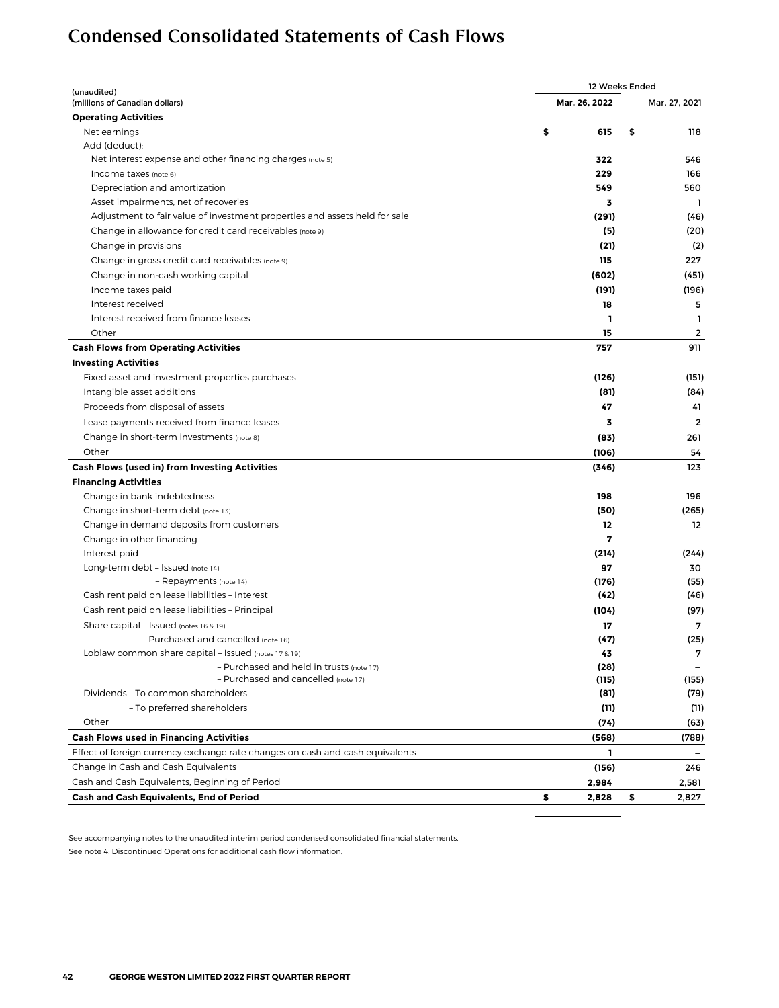# <span id="page-5-0"></span>Condensed Consolidated Statements of Cash Flows

| (unaudited)                                                                   |               | 12 Weeks Ended |
|-------------------------------------------------------------------------------|---------------|----------------|
| (millions of Canadian dollars)                                                | Mar. 26, 2022 | Mar. 27, 2021  |
| <b>Operating Activities</b>                                                   |               |                |
| Net earnings                                                                  | \$<br>615     | \$<br>118      |
| Add (deduct):                                                                 |               |                |
| Net interest expense and other financing charges (note 5)                     | 322           | 546            |
| Income taxes (note 6)                                                         | 229           | 166            |
| Depreciation and amortization                                                 | 549           | 560            |
| Asset impairments, net of recoveries                                          | 3             | L.             |
| Adjustment to fair value of investment properties and assets held for sale    | (291)         | (46)           |
| Change in allowance for credit card receivables (note 9)                      | (5)           | (20)           |
| Change in provisions                                                          | (21)          | (2)            |
| Change in gross credit card receivables (note 9)                              | 115           | 227            |
| Change in non-cash working capital                                            | (602)         | (451)          |
| Income taxes paid                                                             | (191)         | (196)          |
| Interest received                                                             | 18            | 5              |
| Interest received from finance leases                                         | ı             | $\mathbf{1}$   |
| Other                                                                         | 15            | 2              |
| <b>Cash Flows from Operating Activities</b>                                   | 757           | 911            |
| <b>Investing Activities</b>                                                   |               |                |
| Fixed asset and investment properties purchases                               | (126)         | (151)          |
| Intangible asset additions                                                    | (81)          | (84)           |
| Proceeds from disposal of assets                                              |               | 41             |
|                                                                               | 47            |                |
| Lease payments received from finance leases                                   | 3             | $\overline{2}$ |
| Change in short-term investments (note 8)                                     | (83)          | 261            |
| Other                                                                         | (106)         | 54             |
| Cash Flows (used in) from Investing Activities                                | (346)         | 123            |
| <b>Financing Activities</b>                                                   |               |                |
| Change in bank indebtedness                                                   | 198           | 196            |
| Change in short-term debt (note 13)                                           | (50)          | (265)          |
| Change in demand deposits from customers                                      | 12            | 12             |
| Change in other financing                                                     | 7             |                |
| Interest paid                                                                 | (214)         | (244)          |
| Long-term debt - Issued (note 14)                                             | 97            | 30             |
| - Repayments (note 14)                                                        | (176)         | (55)           |
| Cash rent paid on lease liabilities - Interest                                | (42)          | (46)           |
| Cash rent paid on lease liabilities - Principal                               | (104)         | (97)           |
| Share capital - Issued (notes 16 & 19)                                        | 17            | 7              |
| - Purchased and cancelled (note 16)                                           | (47)          | (25)           |
| Loblaw common share capital - Issued (notes 17 & 19)                          | 43            | 7              |
| - Purchased and held in trusts (note 17)                                      | (28)          |                |
| - Purchased and cancelled (note 17)<br>Dividends - To common shareholders     | (115)         | (155)          |
|                                                                               | (81)          | (79)           |
| - To preferred shareholders                                                   | (11)          | (11)           |
| Other                                                                         | (74)          | (63)           |
| <b>Cash Flows used in Financing Activities</b>                                | (568)         | (788)          |
| Effect of foreign currency exchange rate changes on cash and cash equivalents | L             |                |
| Change in Cash and Cash Equivalents                                           | (156)         | 246            |
| Cash and Cash Equivalents, Beginning of Period                                | 2,984         | 2,581          |
| Cash and Cash Equivalents, End of Period                                      | \$<br>2,828   | \$<br>2,827    |
|                                                                               |               |                |

See accompanying notes to the unaudited interim period condensed consolidated financial statements. See note 4. Discontinued Operations for additional cash flow information.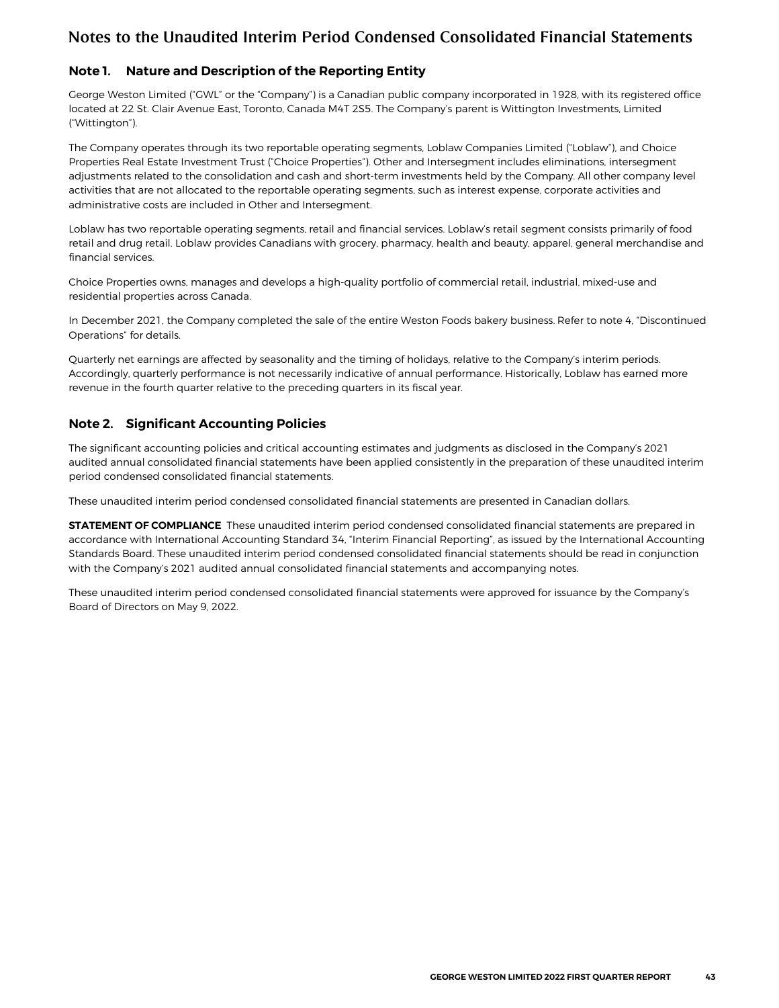### <span id="page-6-0"></span>**Note 1. Nature and Description of the Reporting Entity**

George Weston Limited ("GWL" or the "Company") is a Canadian public company incorporated in 1928, with its registered office located at 22 St. Clair Avenue East, Toronto, Canada M4T 2S5. The Company's parent is Wittington Investments, Limited ("Wittington").

The Company operates through its two reportable operating segments, Loblaw Companies Limited ("Loblaw"), and Choice Properties Real Estate Investment Trust ("Choice Properties"). Other and Intersegment includes eliminations, intersegment adjustments related to the consolidation and cash and short-term investments held by the Company. All other company level activities that are not allocated to the reportable operating segments, such as interest expense, corporate activities and administrative costs are included in Other and Intersegment.

Loblaw has two reportable operating segments, retail and financial services. Loblaw's retail segment consists primarily of food retail and drug retail. Loblaw provides Canadians with grocery, pharmacy, health and beauty, apparel, general merchandise and financial services.

Choice Properties owns, manages and develops a high-quality portfolio of commercial retail, industrial, mixed-use and residential properties across Canada.

In December 2021, the Company completed the sale of the entire Weston Foods bakery business. Refer to note 4, "Discontinued Operations" for details.

Quarterly net earnings are affected by seasonality and the timing of holidays, relative to the Company's interim periods. Accordingly, quarterly performance is not necessarily indicative of annual performance. Historically, Loblaw has earned more revenue in the fourth quarter relative to the preceding quarters in its fiscal year.

### **Note 2. Significant Accounting Policies**

The significant accounting policies and critical accounting estimates and judgments as disclosed in the Company's 2021 audited annual consolidated financial statements have been applied consistently in the preparation of these unaudited interim period condensed consolidated financial statements.

These unaudited interim period condensed consolidated financial statements are presented in Canadian dollars.

**STATEMENT OF COMPLIANCE** These unaudited interim period condensed consolidated financial statements are prepared in accordance with International Accounting Standard 34, "Interim Financial Reporting", as issued by the International Accounting Standards Board. These unaudited interim period condensed consolidated financial statements should be read in conjunction with the Company's 2021 audited annual consolidated financial statements and accompanying notes.

These unaudited interim period condensed consolidated financial statements were approved for issuance by the Company's Board of Directors on May 9, 2022.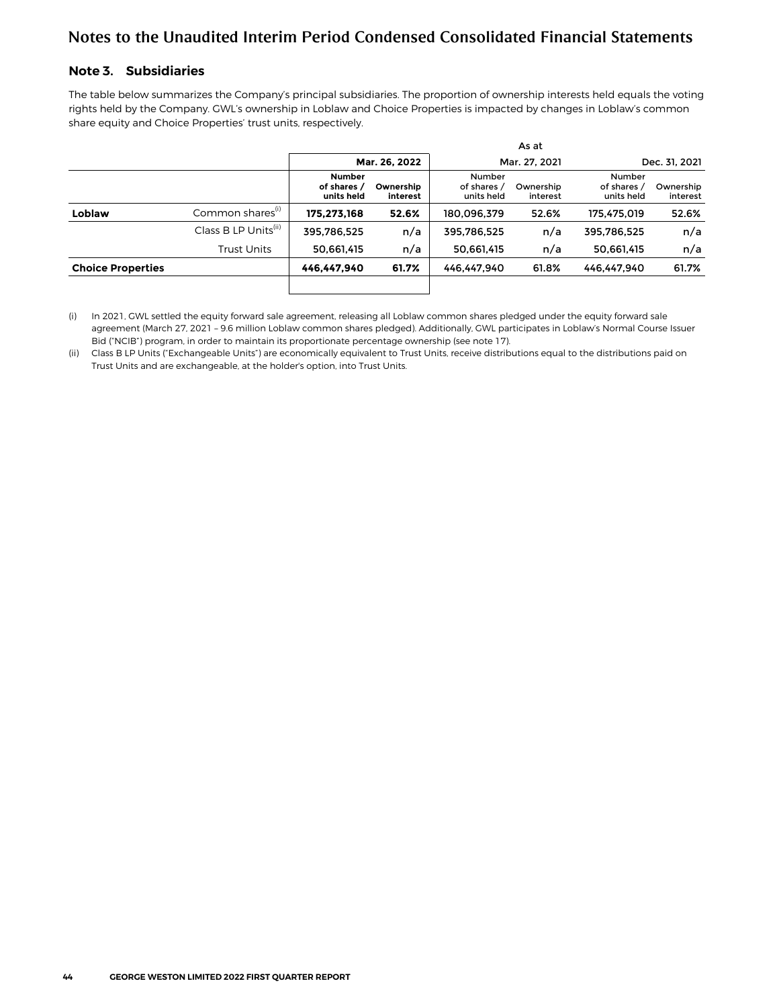### <span id="page-7-0"></span>**Note 3. Subsidiaries**

The table below summarizes the Company's principal subsidiaries. The proportion of ownership interests held equals the voting rights held by the Company. GWL's ownership in Loblaw and Choice Properties is impacted by changes in Loblaw's common share equity and Choice Properties' trust units, respectively.

|                          |                                  |                                            |                       |                                     | As at                 |                                     |                       |
|--------------------------|----------------------------------|--------------------------------------------|-----------------------|-------------------------------------|-----------------------|-------------------------------------|-----------------------|
|                          |                                  |                                            | Mar. 26, 2022         |                                     | Mar. 27. 2021         |                                     | Dec. 31, 2021         |
|                          |                                  | <b>Number</b><br>of shares /<br>units held | Ownership<br>interest | Number<br>of shares /<br>units held | Ownership<br>interest | Number<br>of shares /<br>units held | Ownership<br>interest |
| Loblaw                   | Common shares <sup>(i)</sup>     | 175.273.168                                | 52.6%                 | 180.096.379                         | 52.6%                 | 175,475,019                         | 52.6%                 |
|                          | Class B LP Units <sup>(ii)</sup> | 395.786.525                                | n/a                   | 395.786.525                         | n/a                   | 395.786.525                         | n/a                   |
|                          | Trust Units                      | 50,661,415                                 | n/a                   | 50,661,415                          | n/a                   | 50,661,415                          | n/a                   |
| <b>Choice Properties</b> |                                  | 446.447.940                                | 61.7%                 | 446.447.940                         | 61.8%                 | 446.447.940                         | 61.7%                 |
|                          |                                  |                                            |                       |                                     |                       |                                     |                       |

(i) In 2021, GWL settled the equity forward sale agreement, releasing all Loblaw common shares pledged under the equity forward sale agreement (March 27, 2021 – 9.6 million Loblaw common shares pledged). Additionally, GWL participates in Loblaw's Normal Course Issuer Bid ("NCIB") program, in order to maintain its proportionate percentage ownership (see note 17).

(ii) Class B LP Units ("Exchangeable Units") are economically equivalent to Trust Units, receive distributions equal to the distributions paid on Trust Units and are exchangeable, at the holder's option, into Trust Units.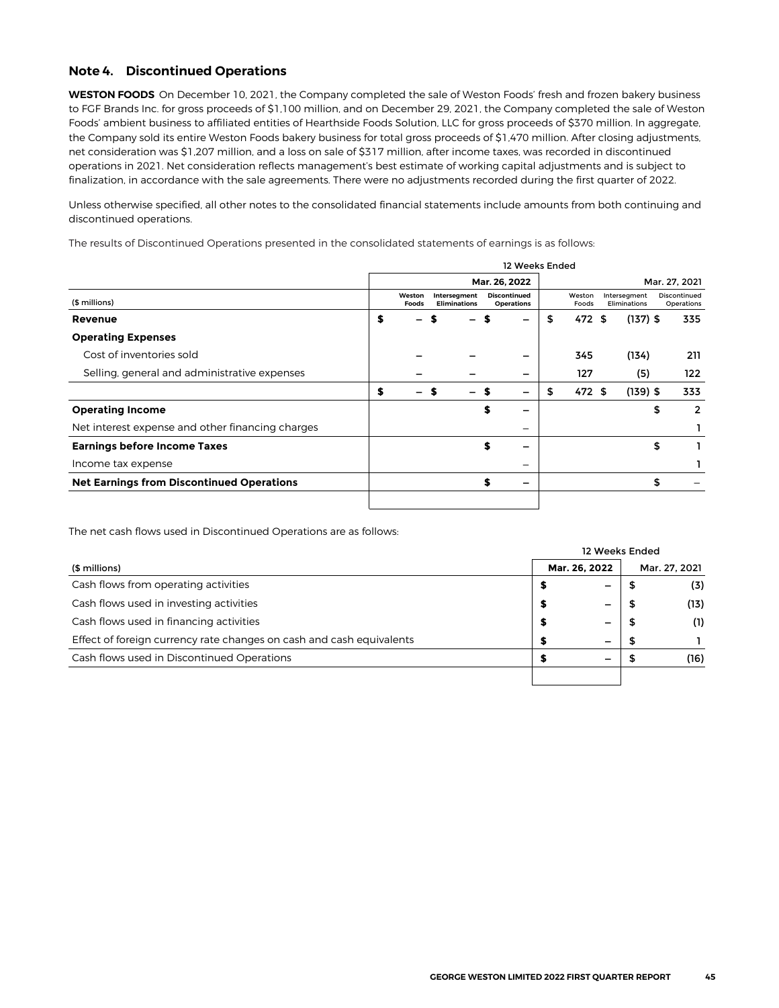#### <span id="page-8-0"></span>**Note 4. Discontinued Operations**

**WESTON FOODS** On December 10, 2021, the Company completed the sale of Weston Foods' fresh and frozen bakery business to FGF Brands Inc. for gross proceeds of \$1,100 million, and on December 29, 2021, the Company completed the sale of Weston Foods' ambient business to affiliated entities of Hearthside Foods Solution, LLC for gross proceeds of \$370 million. In aggregate, the Company sold its entire Weston Foods bakery business for total gross proceeds of \$1,470 million. After closing adjustments, net consideration was \$1,207 million, and a loss on sale of \$317 million, after income taxes, was recorded in discontinued operations in 2021. Net consideration reflects management's best estimate of working capital adjustments and is subject to finalization, in accordance with the sale agreements. There were no adjustments recorded during the first quarter of 2022.

Unless otherwise specified, all other notes to the consolidated financial statements include amounts from both continuing and discontinued operations.

**The results of Discontinued Operations presented in the consolidated statements of earnings is as follows:**

|                                                  |                        |    |                                     |   | 12 Weeks Ended                           |                 |                              |    |                            |
|--------------------------------------------------|------------------------|----|-------------------------------------|---|------------------------------------------|-----------------|------------------------------|----|----------------------------|
|                                                  |                        |    |                                     |   | Mar. 26, 2022                            |                 |                              |    | Mar. 27, 2021              |
| (\$ millions)                                    | Weston<br><b>Foods</b> |    | Intersegment<br><b>Eliminations</b> |   | <b>Discontinued</b><br><b>Operations</b> | Weston<br>Foods | Intersegment<br>Eliminations |    | Discontinued<br>Operations |
| Revenue                                          | \$                     |    |                                     |   |                                          | \$<br>472 \$    | $(137)$ \$                   |    | 335                        |
| <b>Operating Expenses</b>                        |                        |    |                                     |   |                                          |                 |                              |    |                            |
| Cost of inventories sold                         |                        |    |                                     |   |                                          | 345             | (134)                        |    | 211                        |
| Selling, general and administrative expenses     |                        |    |                                     |   |                                          | 127             | (5)                          |    | 122                        |
|                                                  | \$<br>—                | -S | -                                   | S |                                          | \$<br>472 \$    | $(139)$ \$                   |    | 333                        |
| <b>Operating Income</b>                          |                        |    |                                     | S |                                          |                 |                              | \$ | 2                          |
| Net interest expense and other financing charges |                        |    |                                     |   |                                          |                 |                              |    |                            |
| <b>Earnings before Income Taxes</b>              |                        |    |                                     | S |                                          |                 |                              | \$ |                            |
| Income tax expense                               |                        |    |                                     |   |                                          |                 |                              |    |                            |
| <b>Net Earnings from Discontinued Operations</b> |                        |    |                                     | S |                                          |                 |                              | S  |                            |
|                                                  |                        |    |                                     |   |                                          |                 |                              |    |                            |

**The net cash flows used in Discontinued Operations are as follows:**

|                                                                      |               |   | 12 Weeks Ended |               |
|----------------------------------------------------------------------|---------------|---|----------------|---------------|
| (\$ millions)                                                        | Mar. 26, 2022 |   |                | Mar. 27, 2021 |
| Cash flows from operating activities                                 |               |   |                | (3)           |
| Cash flows used in investing activities                              |               | - |                | (13)          |
| Cash flows used in financing activities                              |               | - |                | (1)           |
| Effect of foreign currency rate changes on cash and cash equivalents |               | - |                |               |
| Cash flows used in Discontinued Operations                           |               |   |                | (16)          |
|                                                                      |               |   |                |               |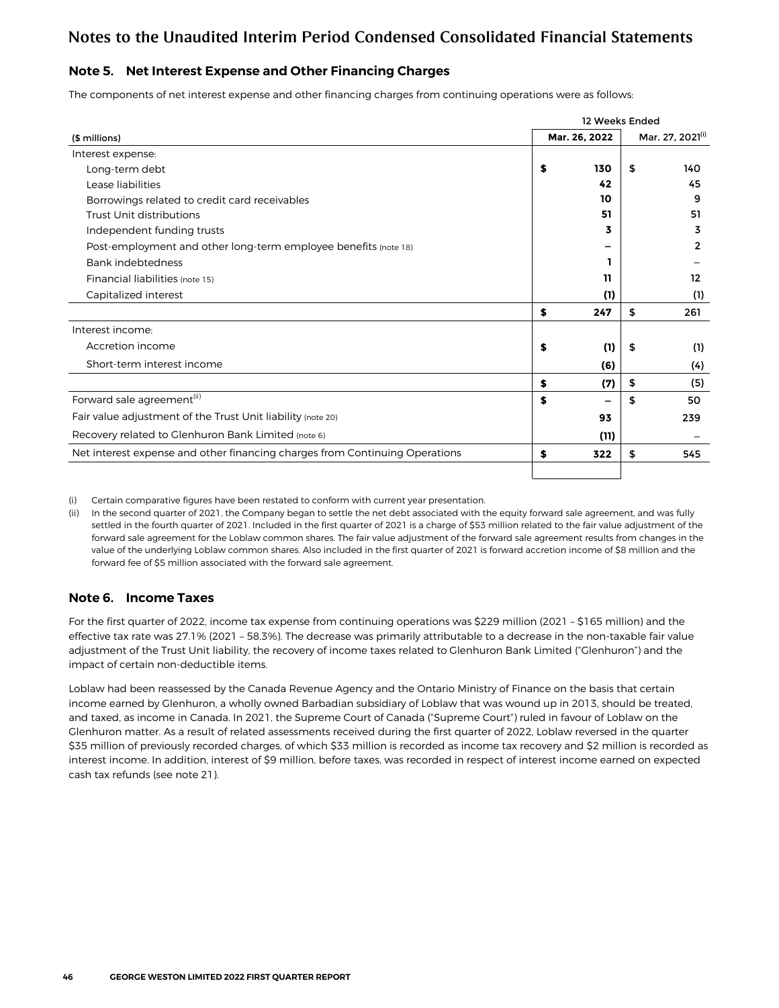### <span id="page-9-0"></span>**Note 5. Net Interest Expense and Other Financing Charges**

The components of net interest expense and other financing charges from continuing operations were as follows:

|                                                                             |    | 12 Weeks Ended |                  |
|-----------------------------------------------------------------------------|----|----------------|------------------|
| (\$ millions)                                                               |    | Mar. 26, 2022  | Mar. 27, 2021(1) |
| Interest expense:                                                           |    |                |                  |
| Long-term debt                                                              | \$ | 130            | \$<br>140        |
| Lease liabilities                                                           |    | 42             | 45               |
| Borrowings related to credit card receivables                               |    | 10             | 9                |
| Trust Unit distributions                                                    |    | 51             | 51               |
| Independent funding trusts                                                  |    | 3              | 3                |
| Post-employment and other long-term employee benefits (note 18)             |    |                | 2                |
| <b>Bank indebtedness</b>                                                    |    |                |                  |
| Financial liabilities (note 15)                                             |    | 11             | 12               |
| Capitalized interest                                                        |    | (1)            | (1)              |
|                                                                             | \$ | 247            | \$<br>261        |
| Interest income:                                                            |    |                |                  |
| Accretion income                                                            | S  | (1)            | \$<br>(1)        |
| Short-term interest income                                                  |    | (6)            | (4)              |
|                                                                             | S  | (7)            | \$<br>(5)        |
| Forward sale agreement <sup>(ii)</sup>                                      | S  |                | \$<br>50         |
| Fair value adjustment of the Trust Unit liability (note 20)                 |    | 93             | 239              |
| Recovery related to Glenhuron Bank Limited (note 6)                         |    | (11)           |                  |
| Net interest expense and other financing charges from Continuing Operations | \$ | 322            | \$<br>545        |
|                                                                             |    |                |                  |

(i) Certain comparative figures have been restated to conform with current year presentation.

(ii) In the second quarter of 2021, the Company began to settle the net debt associated with the equity forward sale agreement, and was fully settled in the fourth quarter of 2021. Included in the first quarter of 2021 is a charge of \$53 million related to the fair value adjustment of the forward sale agreement for the Loblaw common shares. The fair value adjustment of the forward sale agreement results from changes in the value of the underlying Loblaw common shares. Also included in the first quarter of 2021 is forward accretion income of \$8 million and the forward fee of \$5 million associated with the forward sale agreement.

### **Note 6. Income Taxes**

For the first quarter of 2022, income tax expense from continuing operations was \$229 million (2021 – \$165 million) and the effective tax rate was 27.1% (2021 – 58.3%). The decrease was primarily attributable to a decrease in the non-taxable fair value adjustment of the Trust Unit liability, the recovery of income taxes related to Glenhuron Bank Limited ("Glenhuron") and the impact of certain non-deductible items.

Loblaw had been reassessed by the Canada Revenue Agency and the Ontario Ministry of Finance on the basis that certain income earned by Glenhuron, a wholly owned Barbadian subsidiary of Loblaw that was wound up in 2013, should be treated, and taxed, as income in Canada. In 2021, the Supreme Court of Canada ("Supreme Court") ruled in favour of Loblaw on the Glenhuron matter. As a result of related assessments received during the first quarter of 2022, Loblaw reversed in the quarter \$35 million of previously recorded charges, of which \$33 million is recorded as income tax recovery and \$2 million is recorded as interest income. In addition, interest of \$9 million, before taxes, was recorded in respect of interest income earned on expected cash tax refunds (see note 21).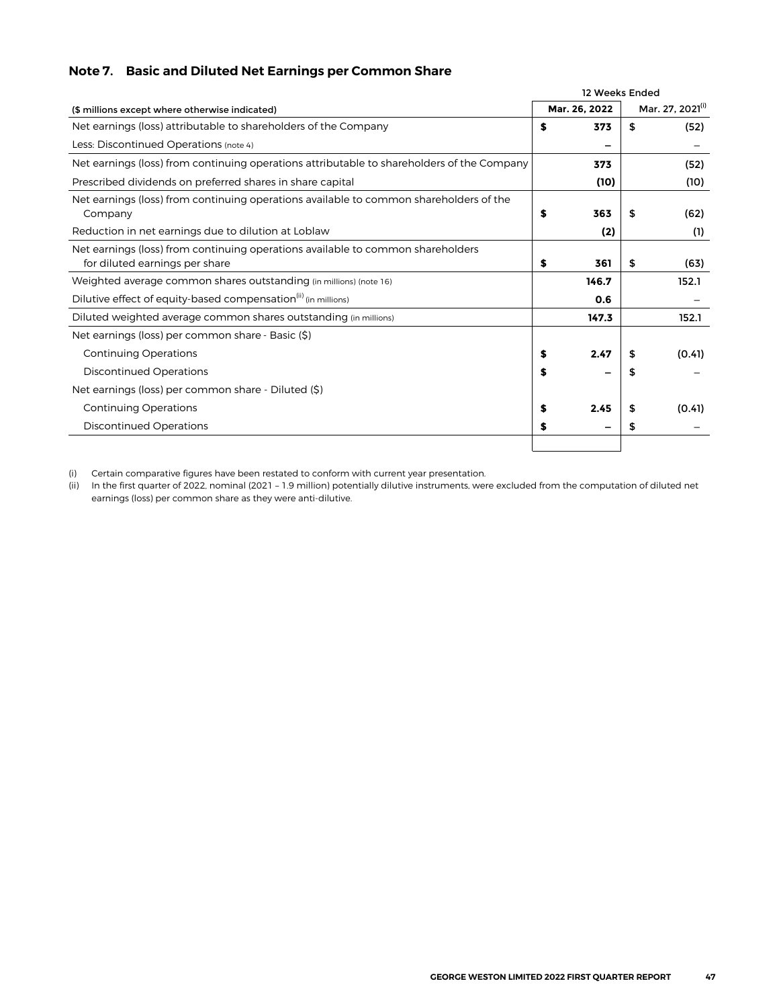## <span id="page-10-0"></span>**Note 7. Basic and Diluted Net Earnings per Common Share**

|                                                                                                                   | 12 Weeks Ended |                  |
|-------------------------------------------------------------------------------------------------------------------|----------------|------------------|
| (\$ millions except where otherwise indicated)                                                                    | Mar. 26, 2022  | Mar. 27, 2021(i) |
| Net earnings (loss) attributable to shareholders of the Company                                                   | \$<br>373      | \$<br>(52)       |
| Less: Discontinued Operations (note 4)                                                                            |                |                  |
| Net earnings (loss) from continuing operations attributable to shareholders of the Company                        | 373            | (52)             |
| Prescribed dividends on preferred shares in share capital                                                         | (10)           | (10)             |
| Net earnings (loss) from continuing operations available to common shareholders of the<br>Company                 | \$<br>363      | \$<br>(62)       |
| Reduction in net earnings due to dilution at Loblaw                                                               | (2)            | (1)              |
| Net earnings (loss) from continuing operations available to common shareholders<br>for diluted earnings per share | \$<br>361      | \$<br>(63)       |
| Weighted average common shares outstanding (in millions) (note 16)                                                | 146.7          | 152.1            |
| Dilutive effect of equity-based compensation <sup>(ii)</sup> (in millions)                                        | 0.6            |                  |
| Diluted weighted average common shares outstanding (in millions)                                                  | 147.3          | 152.1            |
| Net earnings (loss) per common share - Basic (\$)                                                                 |                |                  |
| <b>Continuing Operations</b>                                                                                      | \$<br>2.47     | \$<br>(0.41)     |
| <b>Discontinued Operations</b>                                                                                    | \$             | \$               |
| Net earnings (loss) per common share - Diluted (\$)                                                               |                |                  |
| <b>Continuing Operations</b>                                                                                      | \$<br>2.45     | \$<br>(0.41)     |
| <b>Discontinued Operations</b>                                                                                    | \$             | \$               |
|                                                                                                                   |                |                  |

(i) Certain comparative figures have been restated to conform with current year presentation.

(ii) In the first quarter of 2022, nominal (2021 – 1.9 million) potentially dilutive instruments, were excluded from the computation of diluted net earnings (loss) per common share as they were anti-dilutive.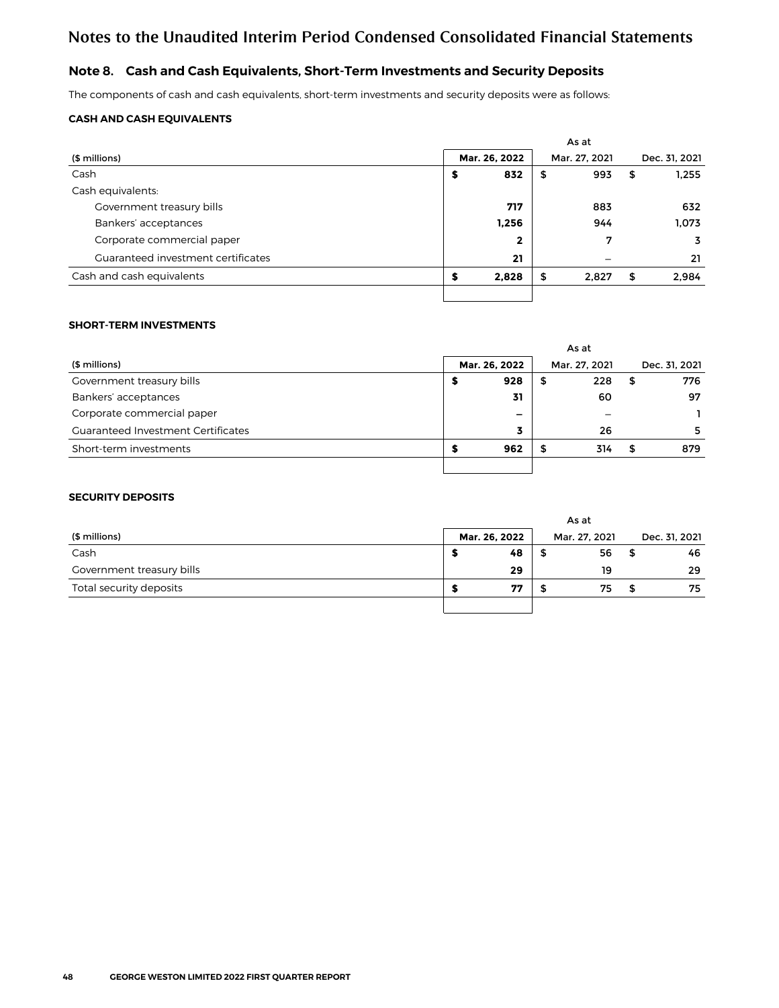### <span id="page-11-0"></span>**Note 8. Cash and Cash Equivalents, Short-Term Investments and Security Deposits**

The components of cash and cash equivalents, short-term investments and security deposits were as follows:

#### **CASH AND CASH EQUIVALENTS**

|                                    | As at |               |    |               |    |               |  |  |  |  |
|------------------------------------|-------|---------------|----|---------------|----|---------------|--|--|--|--|
| (\$ millions)                      |       | Mar. 26, 2022 |    | Mar. 27, 2021 |    | Dec. 31, 2021 |  |  |  |  |
| Cash                               | \$    | 832           | \$ | 993           | \$ | 1.255         |  |  |  |  |
| Cash equivalents:                  |       |               |    |               |    |               |  |  |  |  |
| Government treasury bills          |       | 717           |    | 883           |    | 632           |  |  |  |  |
| Bankers' acceptances               |       | 1,256         |    | 944           |    | 1.073         |  |  |  |  |
| Corporate commercial paper         |       | $\mathbf{2}$  |    | 7             |    | 3             |  |  |  |  |
| Guaranteed investment certificates |       | 21            |    |               |    | 21            |  |  |  |  |
| Cash and cash equivalents          | \$    | 2,828         | \$ | 2,827         | \$ | 2,984         |  |  |  |  |
|                                    |       |               |    |               |    |               |  |  |  |  |

#### **SHORT-TERM INVESTMENTS**

|                                           | As at         |     |   |     |   |     |  |  |  |  |               |  |  |               |
|-------------------------------------------|---------------|-----|---|-----|---|-----|--|--|--|--|---------------|--|--|---------------|
| (\$ millions)                             | Mar. 26, 2022 |     |   |     |   |     |  |  |  |  | Mar. 27, 2021 |  |  | Dec. 31, 2021 |
| Government treasury bills                 |               | 928 | 5 | 228 | S | 776 |  |  |  |  |               |  |  |               |
| Bankers' acceptances                      |               | 31  |   | 60  |   | 97  |  |  |  |  |               |  |  |               |
| Corporate commercial paper                | -             |     |   |     |   |     |  |  |  |  |               |  |  |               |
| <b>Guaranteed Investment Certificates</b> |               |     |   | 26  |   | 5   |  |  |  |  |               |  |  |               |
| Short-term investments                    |               | 962 |   | 314 |   | 879 |  |  |  |  |               |  |  |               |
|                                           |               |     |   |     |   |     |  |  |  |  |               |  |  |               |

#### **SECURITY DEPOSITS**

|                           | As at |               |               |    |   |               |  |  |  |
|---------------------------|-------|---------------|---------------|----|---|---------------|--|--|--|
| (\$ millions)             |       | Mar. 26, 2022 | Mar. 27, 2021 |    |   | Dec. 31, 2021 |  |  |  |
| Cash                      |       | 48            |               | 56 | 5 | 46            |  |  |  |
| Government treasury bills |       | 29            |               | 19 |   | 29            |  |  |  |
| Total security deposits   |       | 77            |               | 75 |   | 75            |  |  |  |
|                           |       |               |               |    |   |               |  |  |  |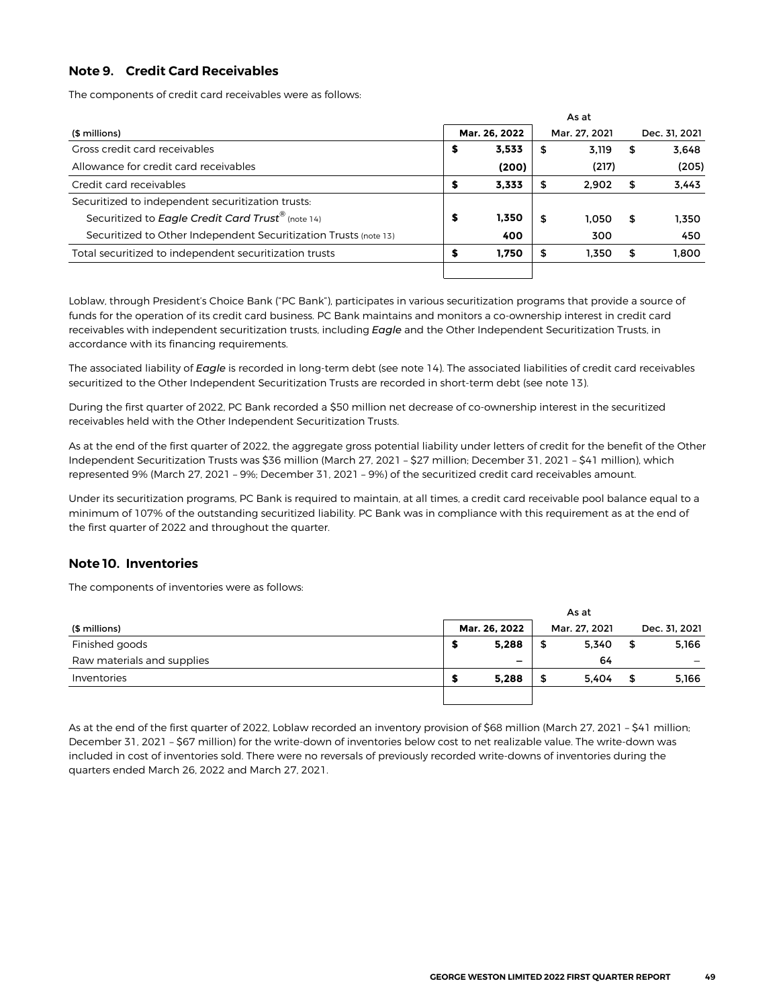### <span id="page-12-0"></span>**Note 9. Credit Card Receivables**

The components of credit card receivables were as follows:

|                                                                  | As at         |       |               |       |    |               |  |  |  |  |
|------------------------------------------------------------------|---------------|-------|---------------|-------|----|---------------|--|--|--|--|
| (\$ millions)                                                    | Mar. 26, 2022 |       | Mar. 27, 2021 |       |    | Dec. 31, 2021 |  |  |  |  |
| Gross credit card receivables                                    | s             | 3,533 | -\$           | 3.119 | \$ | 3.648         |  |  |  |  |
| Allowance for credit card receivables                            |               | (200) |               | (217) |    | (205)         |  |  |  |  |
| Credit card receivables                                          |               | 3.333 | 5             | 2.902 | 5  | 3,443         |  |  |  |  |
| Securitized to independent securitization trusts:                |               |       |               |       |    |               |  |  |  |  |
| Securitized to Eagle Credit Card Trust <sup>®</sup> (note 14)    | \$            | 1,350 | S             | 1.050 | S  | 1.350         |  |  |  |  |
| Securitized to Other Independent Securitization Trusts (note 13) |               | 400   |               | 300   |    | 450           |  |  |  |  |
| Total securitized to independent securitization trusts           |               | 1.750 | 5             | 1.350 | S  | 1,800         |  |  |  |  |
|                                                                  |               |       |               |       |    |               |  |  |  |  |

Loblaw, through President's Choice Bank ("PC Bank"), participates in various securitization programs that provide a source of funds for the operation of its credit card business. PC Bank maintains and monitors a co-ownership interest in credit card receivables with independent securitization trusts, including *Eagle* and the Other Independent Securitization Trusts, in accordance with its financing requirements.

The associated liability of *Eagle* is recorded in long-term debt (see note 14). The associated liabilities of credit card receivables securitized to the Other Independent Securitization Trusts are recorded in short-term debt (see note 13).

During the first quarter of 2022, PC Bank recorded a \$50 million net decrease of co-ownership interest in the securitized receivables held with the Other Independent Securitization Trusts.

As at the end of the first quarter of 2022, the aggregate gross potential liability under letters of credit for the benefit of the Other Independent Securitization Trusts was \$36 million (March 27, 2021 – \$27 million; December 31, 2021 – \$41 million), which represented 9% (March 27, 2021 – 9%; December 31, 2021 – 9%) of the securitized credit card receivables amount.

Under its securitization programs, PC Bank is required to maintain, at all times, a credit card receivable pool balance equal to a minimum of 107% of the outstanding securitized liability. PC Bank was in compliance with this requirement as at the end of the first quarter of 2022 and throughout the quarter.

### **Note 10. Inventories**

The components of inventories were as follows:

|                            | As at |               |               |       |    |               |  |  |  |  |
|----------------------------|-------|---------------|---------------|-------|----|---------------|--|--|--|--|
| (\$ millions)              |       | Mar. 26, 2022 | Mar. 27. 2021 |       |    | Dec. 31, 2021 |  |  |  |  |
| Finished goods             |       | 5,288         | \$            | 5,340 | \$ | 5,166         |  |  |  |  |
| Raw materials and supplies |       | -             |               | 64    |    |               |  |  |  |  |
| Inventories                |       | 5,288         | \$            | 5.404 | \$ | 5,166         |  |  |  |  |
|                            |       |               |               |       |    |               |  |  |  |  |

As at the end of the first quarter of 2022, Loblaw recorded an inventory provision of \$68 million (March 27, 2021 – \$41 million; December 31, 2021 – \$67 million) for the write-down of inventories below cost to net realizable value. The write-down was included in cost of inventories sold. There were no reversals of previously recorded write-downs of inventories during the quarters ended March 26, 2022 and March 27, 2021.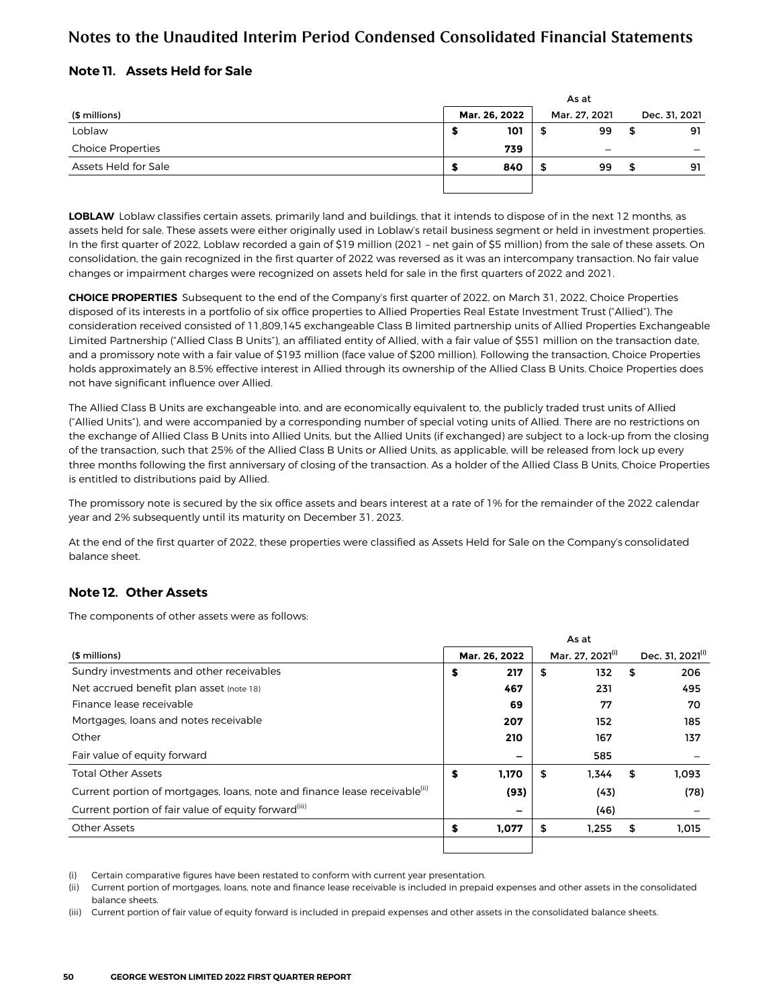### <span id="page-13-0"></span>**Note 11. Assets Held for Sale**

|                          | As at |               |               |    |    |               |  |  |  |  |
|--------------------------|-------|---------------|---------------|----|----|---------------|--|--|--|--|
| (\$ millions)            |       | Mar. 26, 2022 | Mar. 27, 2021 |    |    | Dec. 31, 2021 |  |  |  |  |
| Loblaw                   | Ð     | 101           | 5             | 99 | \$ | 91            |  |  |  |  |
| <b>Choice Properties</b> |       | 739           |               |    |    |               |  |  |  |  |
| Assets Held for Sale     | æ     | 840           | S             | 99 |    | 91            |  |  |  |  |
|                          |       |               |               |    |    |               |  |  |  |  |

**LOBLAW** Loblaw classifies certain assets, primarily land and buildings, that it intends to dispose of in the next 12 months, as assets held for sale. These assets were either originally used in Loblaw's retail business segment or held in investment properties. In the first quarter of 2022, Loblaw recorded a gain of \$19 million (2021 – net gain of \$5 million) from the sale of these assets. On consolidation, the gain recognized in the first quarter of 2022 was reversed as it was an intercompany transaction. No fair value changes or impairment charges were recognized on assets held for sale in the first quarters of 2022 and 2021.

**CHOICE PROPERTIES** Subsequent to the end of the Company's first quarter of 2022, on March 31, 2022, Choice Properties disposed of its interests in a portfolio of six office properties to Allied Properties Real Estate Investment Trust ("Allied"). The consideration received consisted of 11,809,145 exchangeable Class B limited partnership units of Allied Properties Exchangeable Limited Partnership ("Allied Class B Units"), an affiliated entity of Allied, with a fair value of \$551 million on the transaction date, and a promissory note with a fair value of \$193 million (face value of \$200 million). Following the transaction, Choice Properties holds approximately an 8.5% effective interest in Allied through its ownership of the Allied Class B Units. Choice Properties does not have significant influence over Allied.

The Allied Class B Units are exchangeable into, and are economically equivalent to, the publicly traded trust units of Allied ("Allied Units"), and were accompanied by a corresponding number of special voting units of Allied. There are no restrictions on the exchange of Allied Class B Units into Allied Units, but the Allied Units (if exchanged) are subject to a lock-up from the closing of the transaction, such that 25% of the Allied Class B Units or Allied Units, as applicable, will be released from lock up every three months following the first anniversary of closing of the transaction. As a holder of the Allied Class B Units, Choice Properties is entitled to distributions paid by Allied.

The promissory note is secured by the six office assets and bears interest at a rate of 1% for the remainder of the 2022 calendar year and 2% subsequently until its maturity on December 31, 2023.

At the end of the first quarter of 2022, these properties were classified as Assets Held for Sale on the Company's consolidated balance sheet.

### **Note 12. Other Assets**

The components of other assets were as follows:

|                                                                                        | As at |               |    |                              |    |                              |  |  |  |  |
|----------------------------------------------------------------------------------------|-------|---------------|----|------------------------------|----|------------------------------|--|--|--|--|
| (\$ millions)                                                                          |       | Mar. 26, 2022 |    | Mar. 27. 2021 <sup>(i)</sup> |    | Dec. 31, 2021 <sup>(i)</sup> |  |  |  |  |
| Sundry investments and other receivables                                               | \$    | 217           | \$ | 132                          | \$ | 206                          |  |  |  |  |
| Net accrued benefit plan asset (note 18)                                               |       | 467           |    | 231                          |    | 495                          |  |  |  |  |
| Finance lease receivable                                                               |       | 69            |    | 77                           |    | 70                           |  |  |  |  |
| Mortgages, loans and notes receivable                                                  |       | 207           |    | 152                          |    | 185                          |  |  |  |  |
| Other                                                                                  |       | 210           |    | 167                          |    | 137                          |  |  |  |  |
| Fair value of equity forward                                                           |       | -             |    | 585                          |    |                              |  |  |  |  |
| <b>Total Other Assets</b>                                                              | \$    | 1,170         | \$ | 1.344                        | \$ | 1,093                        |  |  |  |  |
| Current portion of mortgages, loans, note and finance lease receivable <sup>(ii)</sup> |       | (93)          |    | (43)                         |    | (78)                         |  |  |  |  |
| Current portion of fair value of equity forward <sup>(iii)</sup>                       |       | -             |    | (46)                         |    |                              |  |  |  |  |
| <b>Other Assets</b>                                                                    | S     | 1.077         | \$ | 1.255                        | \$ | 1.015                        |  |  |  |  |
|                                                                                        |       |               |    |                              |    |                              |  |  |  |  |

(i) Certain comparative figures have been restated to conform with current year presentation.

(ii) Current portion of mortgages, loans, note and finance lease receivable is included in prepaid expenses and other assets in the consolidated balance sheets.

(iii) Current portion of fair value of equity forward is included in prepaid expenses and other assets in the consolidated balance sheets.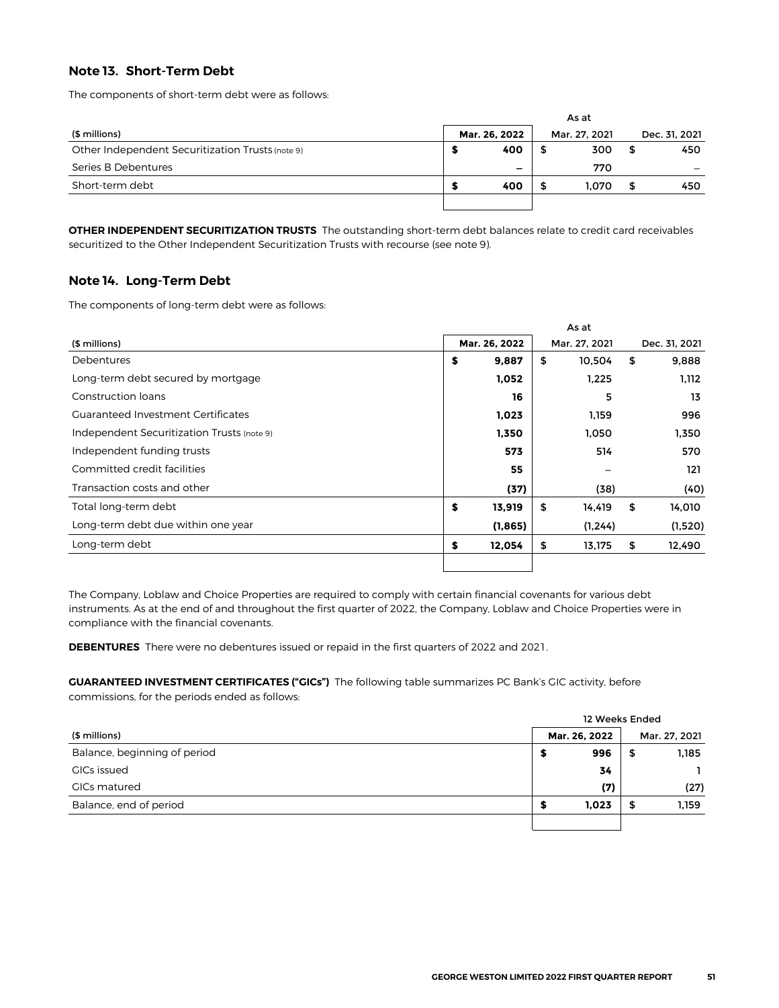### <span id="page-14-0"></span>**Note 13. Short-Term Debt**

The components of short-term debt were as follows:

| (\$ millions)                                    |  | Mar. 26, 2022 |   | Mar. 27, 2021 | Dec. 31, 2021 |     |  |
|--------------------------------------------------|--|---------------|---|---------------|---------------|-----|--|
| Other Independent Securitization Trusts (note 9) |  | 400           | ъ | 300           |               | 450 |  |
| Series B Debentures                              |  | -             |   | 770           |               |     |  |
| Short-term debt                                  |  | 400           | S | 1.070         | S             | 450 |  |
|                                                  |  |               |   |               |               |     |  |

**OTHER INDEPENDENT SECURITIZATION TRUSTS** The outstanding short-term debt balances relate to credit card receivables securitized to the Other Independent Securitization Trusts with recourse (see note 9).

#### **Note 14. Long-Term Debt**

The components of long-term debt were as follows:

|                                            |               | As at         |               |
|--------------------------------------------|---------------|---------------|---------------|
| (\$ millions)                              | Mar. 26, 2022 | Mar. 27, 2021 | Dec. 31, 2021 |
| Debentures                                 | \$<br>9,887   | \$<br>10,504  | \$<br>9,888   |
| Long-term debt secured by mortgage         | 1,052         | 1,225         | 1,112         |
| Construction loans                         | 16            | 5             | 13            |
| <b>Guaranteed Investment Certificates</b>  | 1,023         | 1,159         | 996           |
| Independent Securitization Trusts (note 9) | 1,350         | 1,050         | 1,350         |
| Independent funding trusts                 | 573           | 514           | 570           |
| Committed credit facilities                | 55            |               | 121           |
| Transaction costs and other                | (37)          | (38)          | (40)          |
| Total long-term debt                       | \$<br>13,919  | \$<br>14,419  | \$<br>14,010  |
| Long-term debt due within one year         | (1,865)       | (1, 244)      | (1,520)       |
| Long-term debt                             | \$<br>12,054  | \$<br>13,175  | \$<br>12,490  |
|                                            |               |               |               |

The Company, Loblaw and Choice Properties are required to comply with certain financial covenants for various debt instruments. As at the end of and throughout the first quarter of 2022, the Company, Loblaw and Choice Properties were in compliance with the financial covenants.

**DEBENTURES** There were no debentures issued or repaid in the first quarters of 2022 and 2021.

**GUARANTEED INVESTMENT CERTIFICATES ("GICs")** The following table summarizes PC Bank's GIC activity, before commissions, for the periods ended as follows:

|                              | 12 Weeks Ended |               |               |       |  |  |  |  |  |
|------------------------------|----------------|---------------|---------------|-------|--|--|--|--|--|
| (\$ millions)                |                | Mar. 26, 2022 | Mar. 27, 2021 |       |  |  |  |  |  |
| Balance, beginning of period | 5              | 996           | 5             | 1,185 |  |  |  |  |  |
| GICs issued                  |                | 34            |               |       |  |  |  |  |  |
| GICs matured                 |                | (7)           |               | (27)  |  |  |  |  |  |
| Balance, end of period       | 5              | 1,023         | 5             | 1,159 |  |  |  |  |  |
|                              |                |               |               |       |  |  |  |  |  |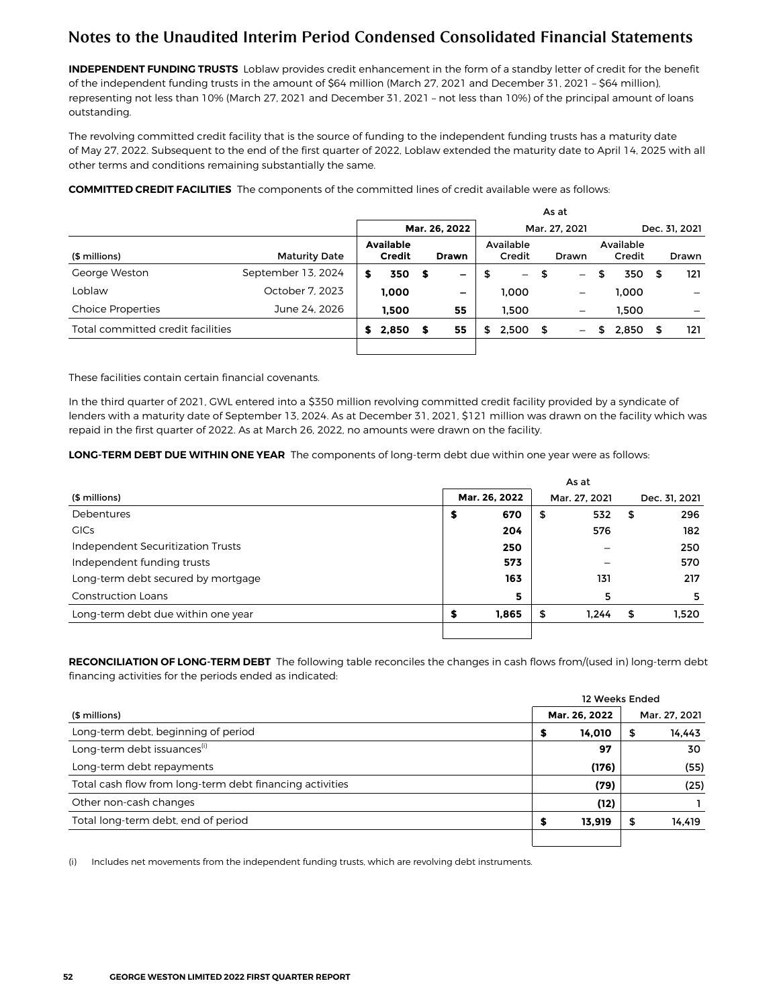**INDEPENDENT FUNDING TRUSTS** Loblaw provides credit enhancement in the form of a standby letter of credit for the benefit of the independent funding trusts in the amount of \$64 million (March 27, 2021 and December 31, 2021 – \$64 million), representing not less than 10% (March 27, 2021 and December 31, 2021 – not less than 10%) of the principal amount of loans outstanding.

The revolving committed credit facility that is the source of funding to the independent funding trusts has a maturity date of May 27, 2022. Subsequent to the end of the first quarter of 2022, Loblaw extended the maturity date to April 14, 2025 with all other terms and conditions remaining substantially the same.

**COMMITTED CREDIT FACILITIES** The components of the committed lines of credit available were as follows:

|                                   |                      |               |                                   |               |                          |    |                          |               | As at                      |    |                     |   |              |
|-----------------------------------|----------------------|---------------|-----------------------------------|---------------|--------------------------|----|--------------------------|---------------|----------------------------|----|---------------------|---|--------------|
|                                   |                      | Mar. 26, 2022 |                                   | Mar. 27, 2021 |                          |    |                          | Dec. 31, 2021 |                            |    |                     |   |              |
| (\$ millions)                     | <b>Maturity Date</b> |               | <b>Available</b><br><b>Credit</b> |               | <b>Drawn</b>             |    | Available<br>Credit      |               | Drawn                      |    | Available<br>Credit |   | <b>Drawn</b> |
| George Weston                     | September 13, 2024   |               | 350                               | - \$          | -                        | \$ | $\overline{\phantom{0}}$ | - \$          | $\overline{\phantom{m}}$   | \$ | 350                 | S | 121          |
| Loblaw                            | October 7, 2023      |               | 1.000                             |               | $\overline{\phantom{0}}$ |    | 1.000                    |               | $\qquad \qquad$            |    | 1.000               |   |              |
| <b>Choice Properties</b>          | June 24, 2026        |               | 1.500                             |               | 55                       |    | 1.500                    |               | $\qquad \qquad \  \  \, -$ |    | 1.500               |   |              |
| Total committed credit facilities |                      |               | 2,850                             | S             | 55                       | \$ | 2,500                    | - \$          | $\qquad \qquad -$          | S  | 2,850               |   | 121          |
|                                   |                      |               |                                   |               |                          |    |                          |               |                            |    |                     |   |              |

These facilities contain certain financial covenants.

In the third quarter of 2021, GWL entered into a \$350 million revolving committed credit facility provided by a syndicate of lenders with a maturity date of September 13, 2024. As at December 31, 2021, \$121 million was drawn on the facility which was repaid in the first quarter of 2022. As at March 26, 2022, no amounts were drawn on the facility.

**LONG-TERM DEBT DUE WITHIN ONE YEAR** The components of long-term debt due within one year were as follows:

|                                    | As at         |       |      |       |    |       |  |               |  |               |
|------------------------------------|---------------|-------|------|-------|----|-------|--|---------------|--|---------------|
| (\$ millions)                      | Mar. 26, 2022 |       |      |       |    |       |  | Mar. 27, 2021 |  | Dec. 31, 2021 |
| Debentures                         | \$            | 670   | - \$ | 532   | \$ | 296   |  |               |  |               |
| <b>GICs</b>                        |               | 204   |      | 576   |    | 182   |  |               |  |               |
| Independent Securitization Trusts  |               | 250   |      |       |    | 250   |  |               |  |               |
| Independent funding trusts         |               | 573   |      |       |    | 570   |  |               |  |               |
| Long-term debt secured by mortgage |               | 163   |      | 131   |    | 217   |  |               |  |               |
| <b>Construction Loans</b>          |               | 5     |      | 5     |    | 5     |  |               |  |               |
| Long-term debt due within one year |               | 1.865 | \$   | 1.244 | \$ | 1,520 |  |               |  |               |
|                                    |               |       |      |       |    |       |  |               |  |               |

**RECONCILIATION OF LONG-TERM DEBT** The following table reconciles the changes in cash flows from/(used in) long-term debt financing activities for the periods ended as indicated:

|                                                          | 12 Weeks Ended |               |   |               |
|----------------------------------------------------------|----------------|---------------|---|---------------|
| (\$ millions)                                            |                | Mar. 26, 2022 |   | Mar. 27, 2021 |
| Long-term debt, beginning of period                      |                | 14.010        | 5 | 14.443        |
| Long-term debt issuances <sup>(1)</sup>                  |                | 97            |   | 30            |
| Long-term debt repayments                                |                | (176)         |   | (55)          |
| Total cash flow from long-term debt financing activities |                | (79)          |   | (25)          |
| Other non-cash changes                                   |                | (12)          |   |               |
| Total long-term debt, end of period                      |                | 13.919        | S | 14.419        |
|                                                          |                |               |   |               |

(i) Includes net movements from the independent funding trusts, which are revolving debt instruments.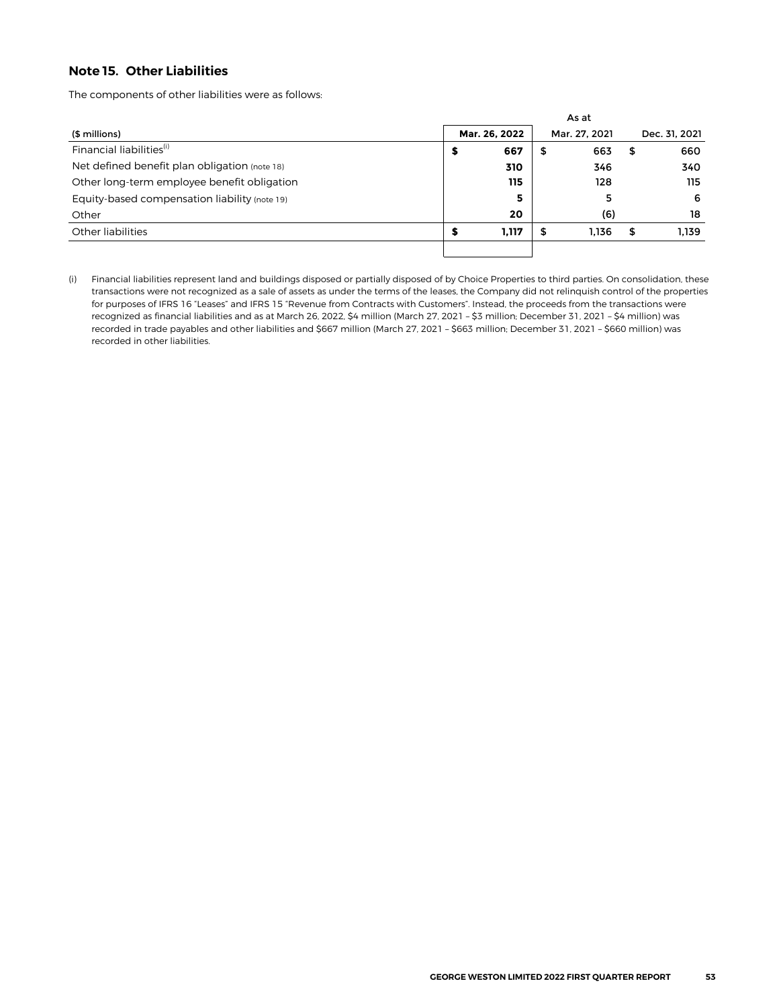### <span id="page-16-0"></span>**Note 15. Other Liabilities**

The components of other liabilities were as follows:

|                                               |   |               |    | As at         |               |
|-----------------------------------------------|---|---------------|----|---------------|---------------|
| (\$ millions)                                 |   | Mar. 26, 2022 |    | Mar. 27, 2021 | Dec. 31, 2021 |
| Financial liabilities <sup>(i)</sup>          | ⋑ | 667           | 5  | 663           | \$<br>660     |
| Net defined benefit plan obligation (note 18) |   | 310           |    | 346           | 340           |
| Other long-term employee benefit obligation   |   | 115           |    | 128           | 115           |
| Equity-based compensation liability (note 19) |   | 5             |    | 5             | -6            |
| Other                                         |   | 20            |    | (6)           | 18            |
| Other liabilities                             | а | 1,117         | \$ | 1.136         | \$<br>1.139   |
|                                               |   |               |    |               |               |

(i) Financial liabilities represent land and buildings disposed or partially disposed of by Choice Properties to third parties. On consolidation, these transactions were not recognized as a sale of assets as under the terms of the leases, the Company did not relinquish control of the properties for purposes of IFRS 16 "Leases" and IFRS 15 "Revenue from Contracts with Customers". Instead, the proceeds from the transactions were recognized as financial liabilities and as at March 26, 2022, \$4 million (March 27, 2021 – \$3 million; December 31, 2021 – \$4 million) was recorded in trade payables and other liabilities and \$667 million (March 27, 2021 – \$663 million; December 31, 2021 – \$660 million) was recorded in other liabilities.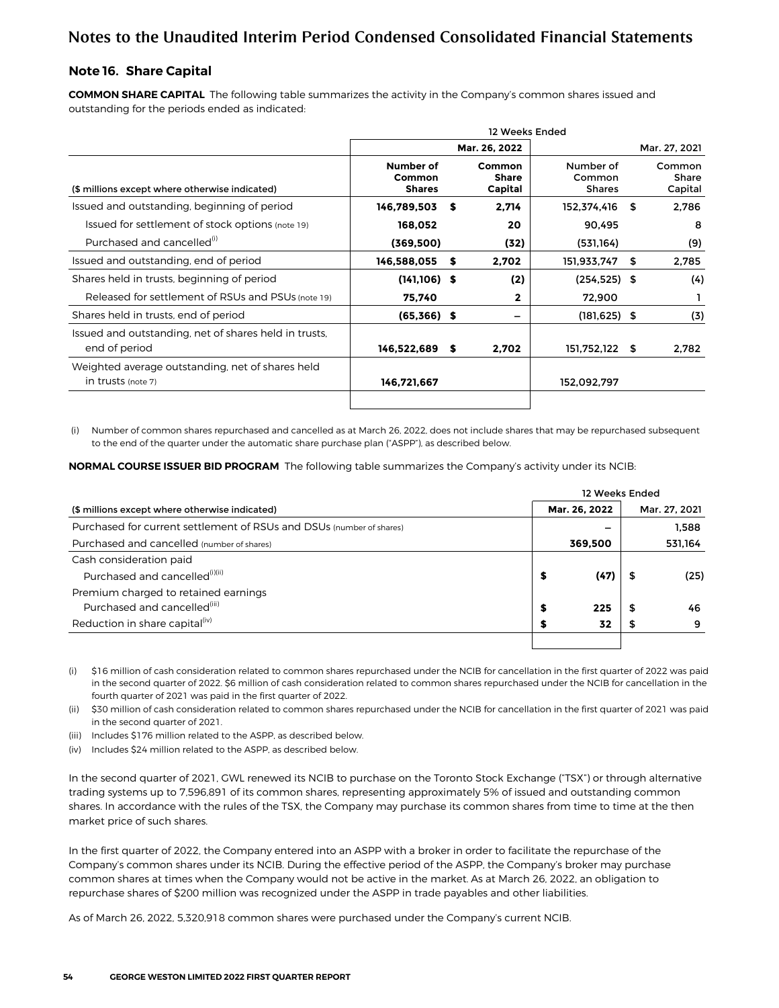#### <span id="page-17-0"></span>**Note 16. Share Capital**

**COMMON SHARE CAPITAL** The following table summarizes the activity in the Company's common shares issued and outstanding for the periods ended as indicated:

|                                                                        |                                      |    | 12 Weeks Ended                           |                                      |               |                            |
|------------------------------------------------------------------------|--------------------------------------|----|------------------------------------------|--------------------------------------|---------------|----------------------------|
|                                                                        |                                      |    | Mar. 26, 2022                            |                                      | Mar. 27, 2021 |                            |
| (\$ millions except where otherwise indicated)                         | Number of<br>Common<br><b>Shares</b> |    | <b>Common</b><br><b>Share</b><br>Capital | Number of<br>Common<br><b>Shares</b> |               | Common<br>Share<br>Capital |
| Issued and outstanding, beginning of period                            | 146,789,503                          | S  | 2,714                                    | 152,374,416 \$                       |               | 2,786                      |
| Issued for settlement of stock options (note 19)                       | 168.052                              |    | 20                                       | 90.495                               |               | 8                          |
| Purchased and cancelled <sup>(1)</sup>                                 | (369,500)                            |    | (32)                                     | (531, 164)                           |               | (9)                        |
| Issued and outstanding, end of period                                  | 146,588,055                          | s  | 2,702                                    | 151,933,747                          | \$            | 2,785                      |
| Shares held in trusts, beginning of period                             | $(141, 106)$ \$                      |    | (2)                                      | $(254, 525)$ \$                      |               | (4)                        |
| Released for settlement of RSUs and PSUs (note 19)                     | 75,740                               |    | $\mathbf{2}$                             | 72,900                               |               |                            |
| Shares held in trusts, end of period                                   | $(65,366)$ \$                        |    | -                                        | $(181, 625)$ \$                      |               | (3)                        |
| Issued and outstanding, net of shares held in trusts,<br>end of period | 146,522,689                          | -S | 2,702                                    | 151,752,122 \$                       |               | 2,782                      |
| Weighted average outstanding, net of shares held<br>in trusts (note 7) | 146,721,667                          |    |                                          | 152,092,797                          |               |                            |
|                                                                        |                                      |    |                                          |                                      |               |                            |

(i) Number of common shares repurchased and cancelled as at March 26, 2022, does not include shares that may be repurchased subsequent to the end of the quarter under the automatic share purchase plan ("ASPP"), as described below.

**NORMAL COURSE ISSUER BID PROGRAM** The following table summarizes the Company's activity under its NCIB:

|                                                                      |    |               |    | 12 Weeks Ended |
|----------------------------------------------------------------------|----|---------------|----|----------------|
| (\$ millions except where otherwise indicated)                       |    | Mar. 26, 2022 |    | Mar. 27, 2021  |
| Purchased for current settlement of RSUs and DSUs (number of shares) |    |               |    | 1.588          |
| Purchased and cancelled (number of shares)                           |    | 369,500       |    | 531,164        |
| Cash consideration paid                                              |    |               |    |                |
| Purchased and cancelled <sup>(i)(ii)</sup>                           | \$ | (47)          |    | (25)           |
| Premium charged to retained earnings                                 |    |               |    |                |
| Purchased and cancelled <sup>(iii)</sup>                             | \$ | 225           | 55 | 46             |
| Reduction in share capital <sup>(IV)</sup>                           | \$ | 32            |    | 9              |
|                                                                      |    |               |    |                |

(i) \$16 million of cash consideration related to common shares repurchased under the NCIB for cancellation in the first quarter of 2022 was paid in the second quarter of 2022. \$6 million of cash consideration related to common shares repurchased under the NCIB for cancellation in the fourth quarter of 2021 was paid in the first quarter of 2022.

(ii) \$30 million of cash consideration related to common shares repurchased under the NCIB for cancellation in the first quarter of 2021 was paid in the second quarter of 2021.

(iii) Includes \$176 million related to the ASPP, as described below.

(iv) Includes \$24 million related to the ASPP, as described below.

In the second quarter of 2021, GWL renewed its NCIB to purchase on the Toronto Stock Exchange ("TSX") or through alternative trading systems up to 7,596,891 of its common shares, representing approximately 5% of issued and outstanding common shares. In accordance with the rules of the TSX, the Company may purchase its common shares from time to time at the then market price of such shares.

In the first quarter of 2022, the Company entered into an ASPP with a broker in order to facilitate the repurchase of the Company's common shares under its NCIB. During the effective period of the ASPP, the Company's broker may purchase common shares at times when the Company would not be active in the market. As at March 26, 2022, an obligation to repurchase shares of \$200 million was recognized under the ASPP in trade payables and other liabilities.

As of March 26, 2022, 5,320,918 common shares were purchased under the Company's current NCIB.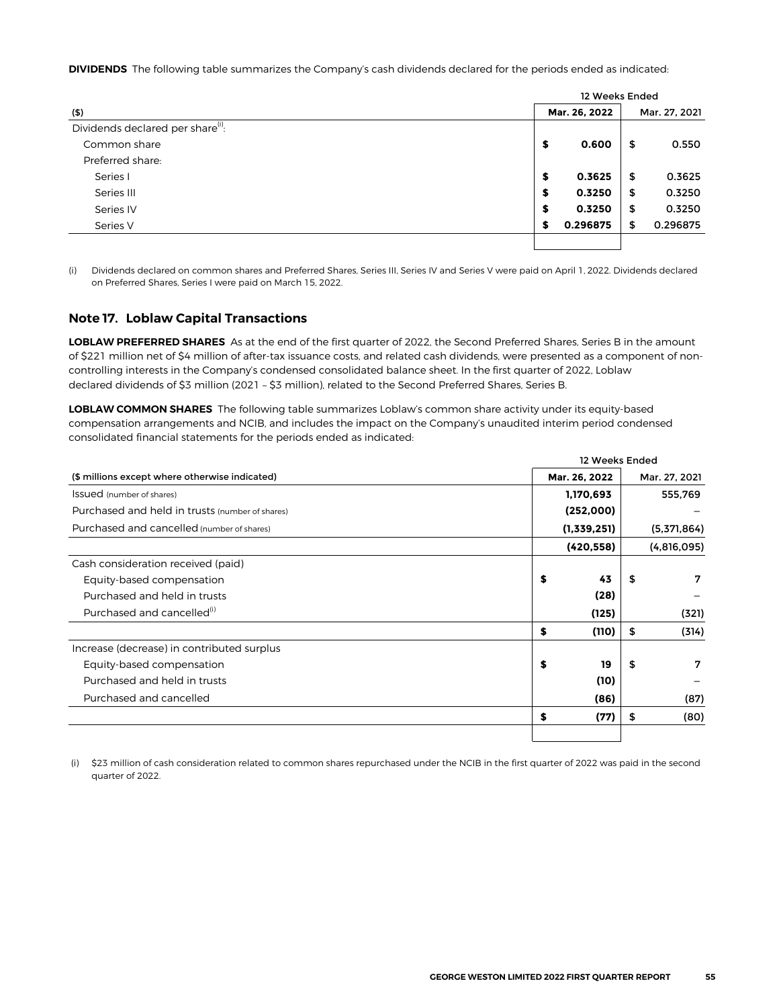<span id="page-18-0"></span>**DIVIDENDS** The following table summarizes the Company's cash dividends declared for the periods ended as indicated:

|                                               |    | 12 Weeks Ended |                |  |
|-----------------------------------------------|----|----------------|----------------|--|
| (5)                                           |    | Mar. 26, 2022  | Mar. 27, 2021  |  |
| Dividends declared per share <sup>(i)</sup> : |    |                |                |  |
| Common share                                  | \$ | 0.600          | \$<br>0.550    |  |
| Preferred share:                              |    |                |                |  |
| Series I                                      | \$ | 0.3625         | \$<br>0.3625   |  |
| Series III                                    | \$ | 0.3250         | \$<br>0.3250   |  |
| Series IV                                     | \$ | 0.3250         | \$<br>0.3250   |  |
| Series V                                      | \$ | 0.296875       | \$<br>0.296875 |  |
|                                               |    |                |                |  |

(i) Dividends declared on common shares and Preferred Shares, Series III, Series IV and Series V were paid on April 1, **2022**. Dividends declared on Preferred Shares, Series I were paid on March 15, **2022**.

#### **Note 17. Loblaw Capital Transactions**

**LOBLAW PREFERRED SHARES** As at the end of the first quarter of 2022, the Second Preferred Shares, Series B in the amount of \$221 million net of \$4 million of after-tax issuance costs, and related cash dividends, were presented as a component of noncontrolling interests in the Company's condensed consolidated balance sheet. In the first quarter of 2022, Loblaw declared dividends of \$3 million (2021 – \$3 million), related to the Second Preferred Shares, Series B.

**LOBLAW COMMON SHARES** The following table summarizes Loblaw's common share activity under its equity-based compensation arrangements and NCIB, and includes the impact on the Company's unaudited interim period condensed consolidated financial statements for the periods ended as indicated:

|                                                 | 12 Weeks Ended |               |
|-------------------------------------------------|----------------|---------------|
| (\$ millions except where otherwise indicated)  | Mar. 26, 2022  | Mar. 27, 2021 |
| Issued (number of shares)                       | 1,170,693      | 555,769       |
| Purchased and held in trusts (number of shares) | (252,000)      |               |
| Purchased and cancelled (number of shares)      | (1,339,251)    | (5,371,864)   |
|                                                 | (420, 558)     | (4,816,095)   |
| Cash consideration received (paid)              |                |               |
| Equity-based compensation                       | \$<br>43       | \$<br>7       |
| Purchased and held in trusts                    | (28)           |               |
| Purchased and cancelled <sup>(1)</sup>          | (125)          | (321)         |
|                                                 | \$<br>(110)    | \$<br>(314)   |
| Increase (decrease) in contributed surplus      |                |               |
| Equity-based compensation                       | \$<br>19       | \$<br>7       |
| Purchased and held in trusts                    | (10)           |               |
| Purchased and cancelled                         | (86)           | (87)          |
|                                                 | \$<br>(77)     | \$<br>(80)    |
|                                                 |                |               |

 (i) \$23 million of cash consideration related to common shares repurchased under the NCIB in the first quarter of 2022 was paid in the second quarter of 2022.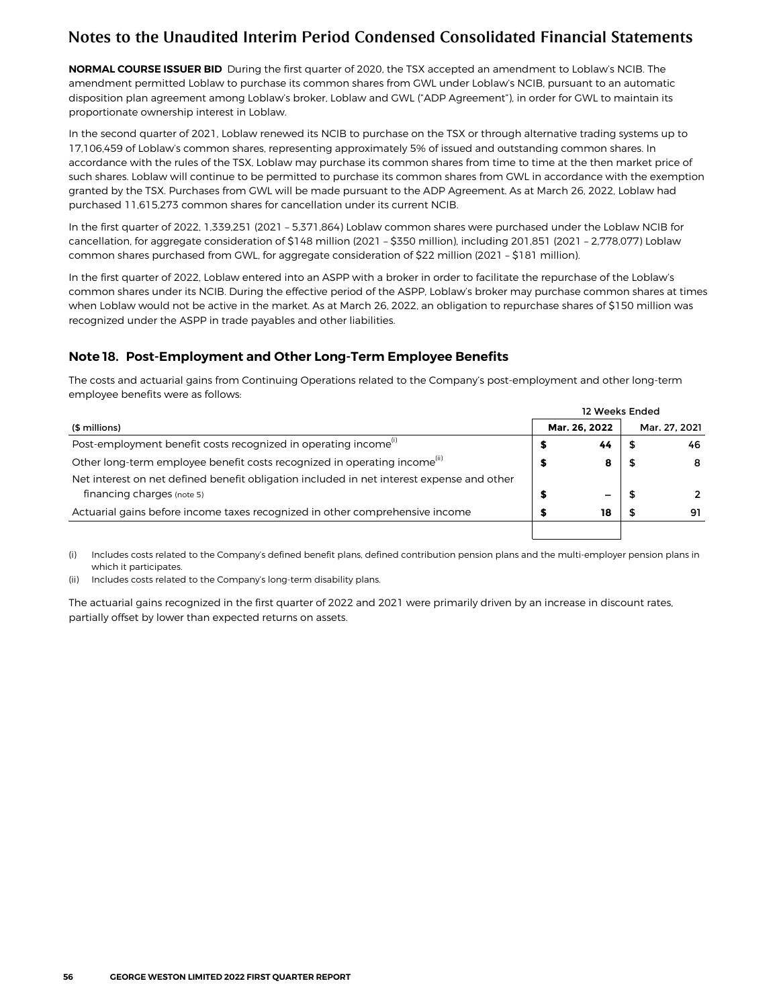<span id="page-19-0"></span>**NORMAL COURSE ISSUER BID** During the first quarter of 2020, the TSX accepted an amendment to Loblaw's NCIB. The amendment permitted Loblaw to purchase its common shares from GWL under Loblaw's NCIB, pursuant to an automatic disposition plan agreement among Loblaw's broker, Loblaw and GWL ("ADP Agreement"), in order for GWL to maintain its proportionate ownership interest in Loblaw.

In the second quarter of 2021, Loblaw renewed its NCIB to purchase on the TSX or through alternative trading systems up to 17,106,459 of Loblaw's common shares, representing approximately 5% of issued and outstanding common shares. In accordance with the rules of the TSX, Loblaw may purchase its common shares from time to time at the then market price of such shares. Loblaw will continue to be permitted to purchase its common shares from GWL in accordance with the exemption granted by the TSX. Purchases from GWL will be made pursuant to the ADP Agreement. As at March 26, 2022, Loblaw had purchased 11,615,273 common shares for cancellation under its current NCIB.

In the first quarter of 2022, 1,339,251 (2021 – 5,371,864) Loblaw common shares were purchased under the Loblaw NCIB for cancellation, for aggregate consideration of \$148 million (2021 – \$350 million), including 201,851 (2021 – 2,778,077) Loblaw common shares purchased from GWL, for aggregate consideration of \$22 million (2021 – \$181 million).

In the first quarter of 2022, Loblaw entered into an ASPP with a broker in order to facilitate the repurchase of the Loblaw's common shares under its NCIB. During the effective period of the ASPP, Loblaw's broker may purchase common shares at times when Loblaw would not be active in the market. As at March 26, 2022, an obligation to repurchase shares of \$150 million was recognized under the ASPP in trade payables and other liabilities.

### **Note 18. Post-Employment and Other Long-Term Employee Benefits**

The costs and actuarial gains from Continuing Operations related to the Company's post-employment and other long-term employee benefits were as follows:

|                                                                                                                         | 12 Weeks Ended |               |  |               |
|-------------------------------------------------------------------------------------------------------------------------|----------------|---------------|--|---------------|
| (\$ millions)                                                                                                           |                | Mar. 26, 2022 |  | Mar. 27, 2021 |
| Post-employment benefit costs recognized in operating income <sup>(i)</sup>                                             |                | 44            |  | 46            |
| Other long-term employee benefit costs recognized in operating income <sup>(ii)</sup>                                   |                | 8             |  | 8             |
| Net interest on net defined benefit obligation included in net interest expense and other<br>financing charges (note 5) |                |               |  |               |
| Actuarial gains before income taxes recognized in other comprehensive income                                            |                | 18            |  | 91            |
|                                                                                                                         |                |               |  |               |

(i) Includes costs related to the Company's defined benefit plans, defined contribution pension plans and the multi-employer pension plans in which it participates.

(ii) Includes costs related to the Company's long-term disability plans.

The actuarial gains recognized in the first quarter of 2022 and 2021 were primarily driven by an increase in discount rates, partially offset by lower than expected returns on assets.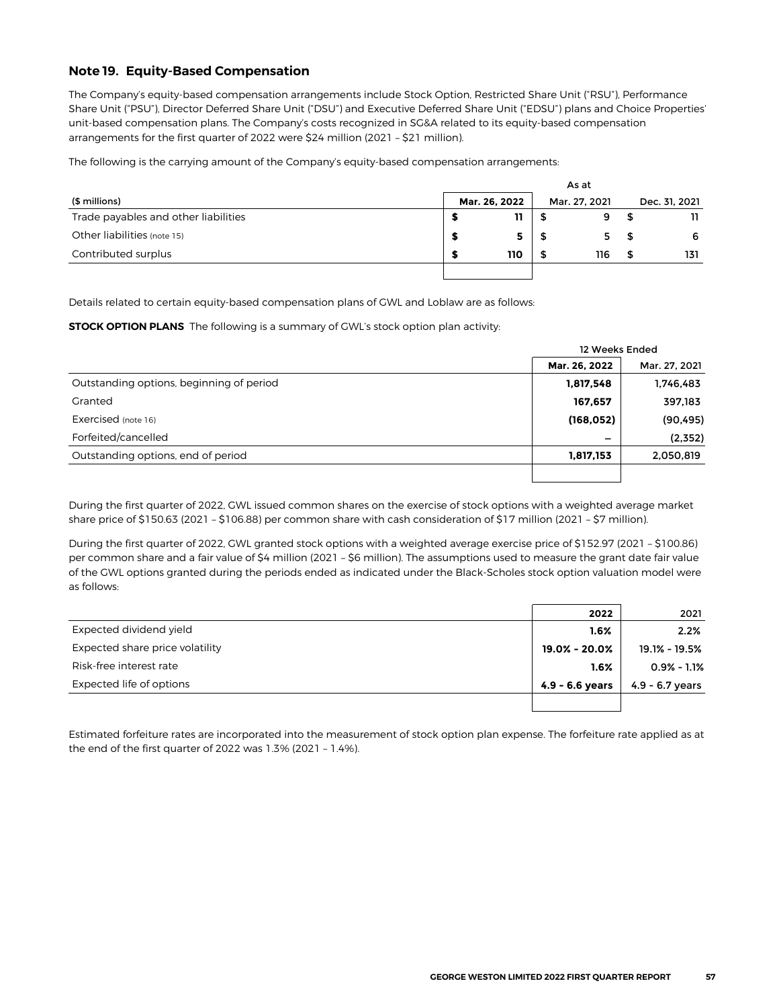#### <span id="page-20-0"></span>**Note 19. Equity-Based Compensation**

The Company's equity-based compensation arrangements include Stock Option, Restricted Share Unit ("RSU"), Performance Share Unit ("PSU"), Director Deferred Share Unit ("DSU") and Executive Deferred Share Unit ("EDSU") plans and Choice Properties' unit-based compensation plans. The Company's costs recognized in SG&A related to its equity-based compensation arrangements for the first quarter of 2022 were \$24 million (2021 – \$21 million).

The following is the carrying amount of the Company's equity-based compensation arrangements:

|                                      |               |   | As at         |      |               |
|--------------------------------------|---------------|---|---------------|------|---------------|
| (\$ millions)                        | Mar. 26, 2022 |   | Mar. 27. 2021 |      | Dec. 31, 2021 |
| Trade payables and other liabilities |               |   |               |      |               |
| Other liabilities (note 15)          |               |   |               | - 56 | 6             |
| Contributed surplus                  | 110           | S | 116           |      | 131           |
|                                      |               |   |               |      |               |

Details related to certain equity-based compensation plans of GWL and Loblaw are as follows:

**STOCK OPTION PLANS** The following is a summary of GWL's stock option plan activity:

|                                          | 12 Weeks Ended |               |
|------------------------------------------|----------------|---------------|
|                                          | Mar. 26, 2022  | Mar. 27, 2021 |
| Outstanding options, beginning of period | 1,817,548      | 1,746,483     |
| Granted                                  | 167,657        | 397,183       |
| Exercised (note 16)                      | (168, 052)     | (90, 495)     |
| Forfeited/cancelled                      |                | (2,352)       |
| Outstanding options, end of period       | 1,817,153      | 2,050,819     |
|                                          |                |               |

During the first quarter of 2022, GWL issued common shares on the exercise of stock options with a weighted average market share price of \$150.63 (2021 – \$106.88) per common share with cash consideration of \$17 million (2021 – \$7 million).

During the first quarter of 2022, GWL granted stock options with a weighted average exercise price of \$152.97 (2021 – \$100.86) per common share and a fair value of \$4 million (2021 – \$6 million). The assumptions used to measure the grant date fair value of the GWL options granted during the periods ended as indicated under the Black-Scholes stock option valuation model were as follows:

|                                 | 2022              | 2021              |
|---------------------------------|-------------------|-------------------|
| Expected dividend yield         | 1.6%              | 2.2%              |
| Expected share price volatility | 19.0% - 20.0%     | 19.1% - 19.5%     |
| Risk-free interest rate         | $1.6\%$           | $0.9\% - 1.1\%$   |
| Expected life of options        | $4.9 - 6.6$ years | $4.9 - 6.7$ years |
|                                 |                   |                   |

Estimated forfeiture rates are incorporated into the measurement of stock option plan expense. The forfeiture rate applied as at the end of the first quarter of 2022 was 1.3% (2021 – 1.4%).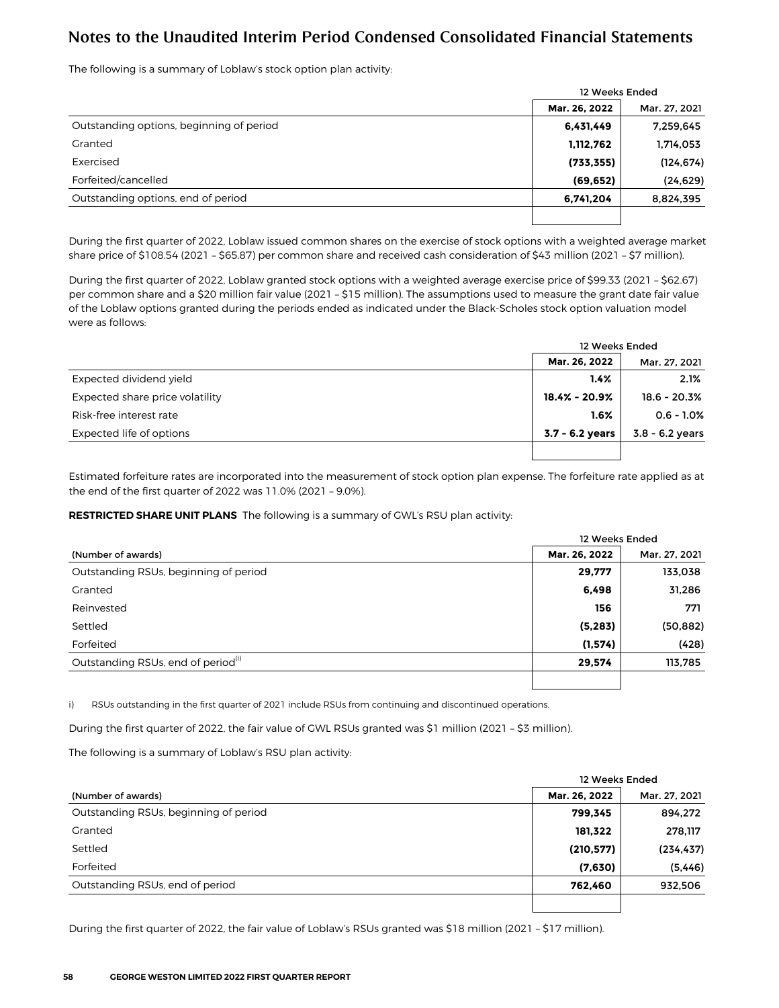The following is a summary of Loblaw's stock option plan activity:

|                                          | 12 Weeks Ended |               |
|------------------------------------------|----------------|---------------|
|                                          | Mar. 26, 2022  | Mar. 27, 2021 |
| Outstanding options, beginning of period | 6,431,449      | 7,259,645     |
| Granted                                  | 1,112,762      | 1,714,053     |
| Exercised                                | (733, 355)     | (124, 674)    |
| Forfeited/cancelled                      | (69, 652)      | (24, 629)     |
| Outstanding options, end of period       | 6,741,204      | 8,824,395     |
|                                          |                |               |

During the first quarter of 2022, Loblaw issued common shares on the exercise of stock options with a weighted average market share price of \$108.54 (2021 – \$65.87) per common share and received cash consideration of \$43 million (2021 – \$7 million).

During the first quarter of 2022, Loblaw granted stock options with a weighted average exercise price of \$99.33 (2021 – \$62.67) per common share and a \$20 million fair value (2021 – \$15 million). The assumptions used to measure the grant date fair value of the Loblaw options granted during the periods ended as indicated under the Black-Scholes stock option valuation model were as follows:

|                                 | 12 Weeks Ended  |                   |
|---------------------------------|-----------------|-------------------|
|                                 | Mar. 26, 2022   | Mar. 27, 2021     |
| Expected dividend yield         | 1.4%            | 2.1%              |
| Expected share price volatility | 18.4% - 20.9%   | $18.6 - 20.3%$    |
| Risk-free interest rate         | 1.6%            | $0.6 - 1.0%$      |
| Expected life of options        | 3.7 - 6.2 years | $3.8 - 6.2$ years |
|                                 |                 |                   |

Estimated forfeiture rates are incorporated into the measurement of stock option plan expense. The forfeiture rate applied as at the end of the first quarter of 2022 was 11.0% (2021 – 9.0%).

#### **RESTRICTED SHARE UNIT PLANS** The following is a summary of GWL's RSU plan activity:

|                                                |               | 12 Weeks Ended |  |  |  |  |
|------------------------------------------------|---------------|----------------|--|--|--|--|
| (Number of awards)                             | Mar. 26, 2022 | Mar. 27, 2021  |  |  |  |  |
| Outstanding RSUs, beginning of period          | 29,777        | 133,038        |  |  |  |  |
| Granted                                        | 6,498         | 31,286         |  |  |  |  |
| Reinvested                                     | 156           | 771            |  |  |  |  |
| Settled                                        | (5, 283)      | (50, 882)      |  |  |  |  |
| Forfeited                                      | (1, 574)      | (428)          |  |  |  |  |
| Outstanding RSUs, end of period <sup>(i)</sup> | 29,574        | 113,785        |  |  |  |  |
|                                                |               |                |  |  |  |  |

i) RSUs outstanding in the first quarter of 2021 include RSUs from continuing and discontinued operations.

During the first quarter of 2022, the fair value of GWL RSUs granted was \$1 million (2021 – \$3 million).

The following is a summary of Loblaw's RSU plan activity:

|                                       | 12 Weeks Ended |               |  |  |  |
|---------------------------------------|----------------|---------------|--|--|--|
| (Number of awards)                    | Mar. 26, 2022  | Mar. 27, 2021 |  |  |  |
| Outstanding RSUs, beginning of period | 799.345        | 894,272       |  |  |  |
| Granted                               | 181,322        | 278,117       |  |  |  |
| Settled                               | (210, 577)     | (234, 437)    |  |  |  |
| Forfeited                             | (7,630)        | (5, 446)      |  |  |  |
| Outstanding RSUs, end of period       | 762.460        | 932,506       |  |  |  |
|                                       |                |               |  |  |  |

During the first quarter of 2022, the fair value of Loblaw's RSUs granted was \$18 million (2021 – \$17 million).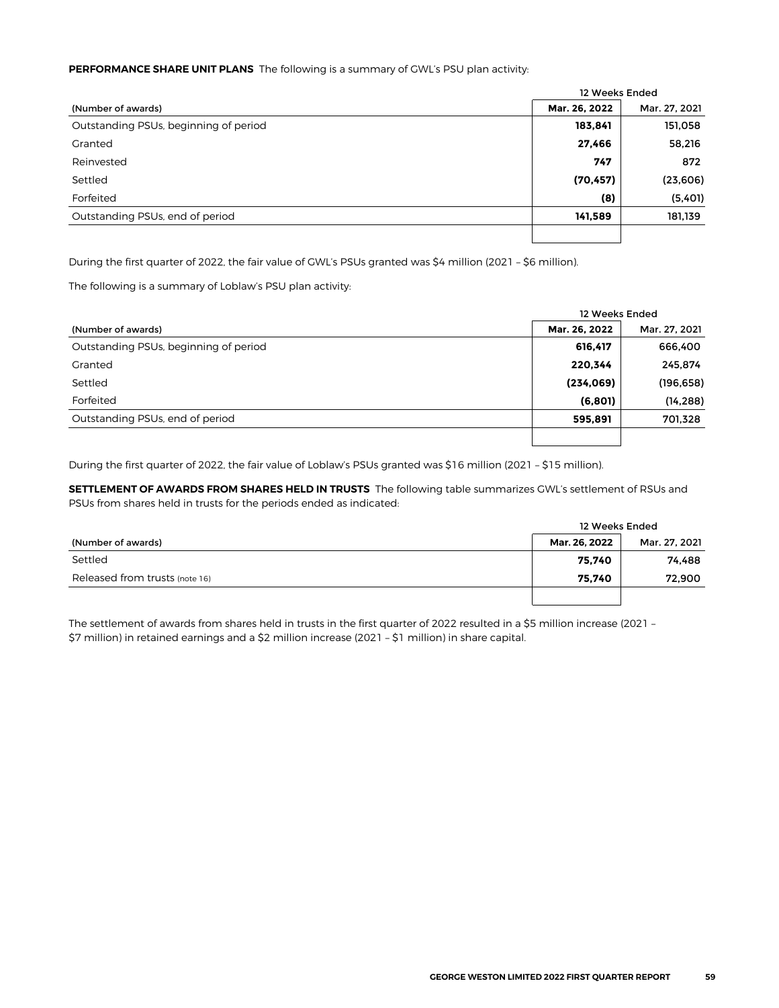#### **PERFORMANCE SHARE UNIT PLANS** The following is a summary of GWL's PSU plan activity:

|                                       | 12 Weeks Ended |               |  |  |  |  |
|---------------------------------------|----------------|---------------|--|--|--|--|
| (Number of awards)                    | Mar. 26, 2022  | Mar. 27, 2021 |  |  |  |  |
| Outstanding PSUs, beginning of period | 183,841        | 151,058       |  |  |  |  |
| Granted                               | 27,466         | 58,216        |  |  |  |  |
| Reinvested                            | 747            | 872           |  |  |  |  |
| Settled                               | (70, 457)      | (23, 606)     |  |  |  |  |
| Forfeited                             | (8)            | (5,401)       |  |  |  |  |
| Outstanding PSUs, end of period       | 141,589        | 181,139       |  |  |  |  |
|                                       |                |               |  |  |  |  |

During the first quarter of 2022, the fair value of GWL's PSUs granted was \$4 million (2021 – \$6 million).

The following is a summary of Loblaw's PSU plan activity:

|                                       |               | 12 Weeks Ended |  |  |  |  |
|---------------------------------------|---------------|----------------|--|--|--|--|
| (Number of awards)                    | Mar. 26, 2022 | Mar. 27, 2021  |  |  |  |  |
| Outstanding PSUs, beginning of period | 616,417       | 666,400        |  |  |  |  |
| Granted                               | 220,344       | 245,874        |  |  |  |  |
| Settled                               | (234,069)     | (196, 658)     |  |  |  |  |
| Forfeited                             | (6, 801)      | (14, 288)      |  |  |  |  |
| Outstanding PSUs, end of period       | 595,891       | 701,328        |  |  |  |  |
|                                       |               |                |  |  |  |  |

During the first quarter of 2022, the fair value of Loblaw's PSUs granted was \$16 million (2021 – \$15 million).

**SETTLEMENT OF AWARDS FROM SHARES HELD IN TRUSTS** The following table summarizes GWL's settlement of RSUs and PSUs from shares held in trusts for the periods ended as indicated:

|                                | 12 Weeks Ended |               |
|--------------------------------|----------------|---------------|
| (Number of awards)             | Mar. 26, 2022  | Mar. 27, 2021 |
| Settled                        | 75,740         | 74.488        |
| Released from trusts (note 16) | 75.740         | 72,900        |
|                                |                |               |

The settlement of awards from shares held in trusts in the first quarter of 2022 resulted in a \$5 million increase (2021 -\$7 million) in retained earnings and a \$2 million increase (2021 – \$1 million) in share capital.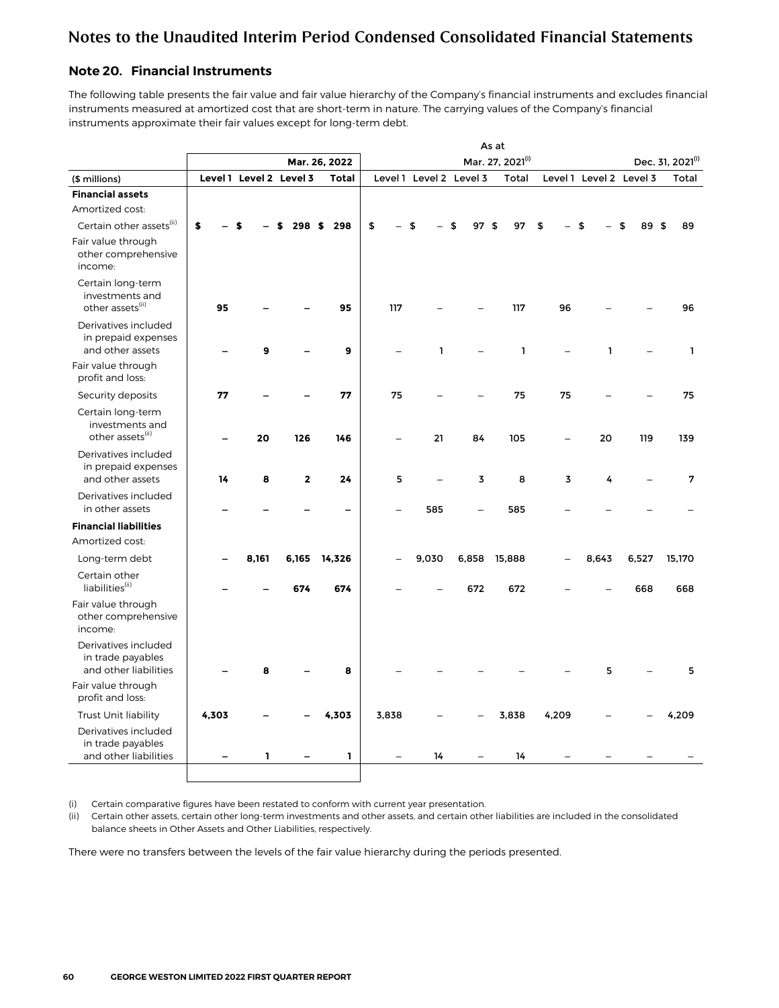### <span id="page-23-0"></span>**Note 20. Financial Instruments**

The following table presents the fair value and fair value hierarchy of the Company's financial instruments and excludes financial instruments measured at amortized cost that are short-term in nature. The carrying values of the Company's financial instruments approximate their fair values except for long-term debt.

|                                                                      |       |                         |              | Mar. 26, 2022 |       |       |                         | Mar. 27, 2021(i) |       |                         |       | Dec. 31, 2021 <sup>(i)</sup> |
|----------------------------------------------------------------------|-------|-------------------------|--------------|---------------|-------|-------|-------------------------|------------------|-------|-------------------------|-------|------------------------------|
| (\$ millions)                                                        |       | Level 1 Level 2 Level 3 |              | <b>Total</b>  |       |       | Level 1 Level 2 Level 3 | Total            |       | Level 1 Level 2 Level 3 |       | Total                        |
| <b>Financial assets</b>                                              |       |                         |              |               |       |       |                         |                  |       |                         |       |                              |
| Amortized cost:                                                      |       |                         |              |               |       |       |                         |                  |       |                         |       |                              |
| Certain other assets(ii)                                             | \$    |                         | 298S         | 298           | \$    |       | 97<br>ፍ                 | 97<br>\$         | \$    |                         | 89    | 89<br>Я                      |
| Fair value through<br>other comprehensive<br>income:                 |       |                         |              |               |       |       |                         |                  |       |                         |       |                              |
| Certain long-term<br>investments and<br>other assets <sup>(ii)</sup> | 95    |                         |              | 95            | 117   |       |                         | 117              | 96    |                         |       | 96                           |
| Derivatives included<br>in prepaid expenses<br>and other assets      |       | 9                       |              | 9             |       | 1     |                         | $\mathbf{1}$     |       | 1                       |       | $\mathbf{1}$                 |
| Fair value through<br>profit and loss:                               |       |                         |              |               |       |       |                         |                  |       |                         |       |                              |
| Security deposits                                                    | 77    |                         |              | 77            | 75    |       |                         | 75               | 75    |                         |       | 75                           |
| Certain long-term<br>investments and<br>other assets <sup>(ii)</sup> |       | 20                      | 126          | 146           |       | 21    | 84                      | 105              |       | 20                      | 119   | 139                          |
| Derivatives included<br>in prepaid expenses<br>and other assets      | 14    | 8                       | $\mathbf{2}$ | 24            | 5     |       | 3                       | 8                | 3     | 4                       |       | 7                            |
| Derivatives included<br>in other assets                              |       |                         |              |               |       | 585   |                         | 585              |       |                         |       |                              |
| <b>Financial liabilities</b>                                         |       |                         |              |               |       |       |                         |                  |       |                         |       |                              |
| Amortized cost:                                                      |       |                         |              |               |       |       |                         |                  |       |                         |       |                              |
| Long-term debt                                                       |       | 8,161                   | 6,165        | 14,326        |       | 9,030 | 6,858                   | 15,888           |       | 8,643                   | 6,527 | 15,170                       |
| Certain other<br>liabilities <sup>(ii)</sup>                         |       |                         | 674          | 674           |       |       | 672                     | 672              |       |                         | 668   | 668                          |
| Fair value through<br>other comprehensive<br>income:                 |       |                         |              |               |       |       |                         |                  |       |                         |       |                              |
| Derivatives included<br>in trade payables<br>and other liabilities   |       | 8                       |              | 8             |       |       |                         |                  |       | 5                       |       | 5                            |
| Fair value through<br>profit and loss:                               |       |                         |              |               |       |       |                         |                  |       |                         |       |                              |
| Trust Unit liability                                                 | 4,303 |                         |              | 4,303         | 3,838 |       |                         | 3,838            | 4,209 |                         |       | 4,209                        |
| Derivatives included<br>in trade payables<br>and other liabilities   |       | ı                       |              | 1             |       | 14    |                         | 14               |       |                         |       |                              |
|                                                                      |       |                         |              |               |       |       |                         |                  |       |                         |       |                              |

(i) Certain comparative figures have been restated to conform with current year presentation.

(ii) Certain other assets, certain other long-term investments and other assets, and certain other liabilities are included in the consolidated balance sheets in Other Assets and Other Liabilities, respectively.

There were no transfers between the levels of the fair value hierarchy during the periods presented.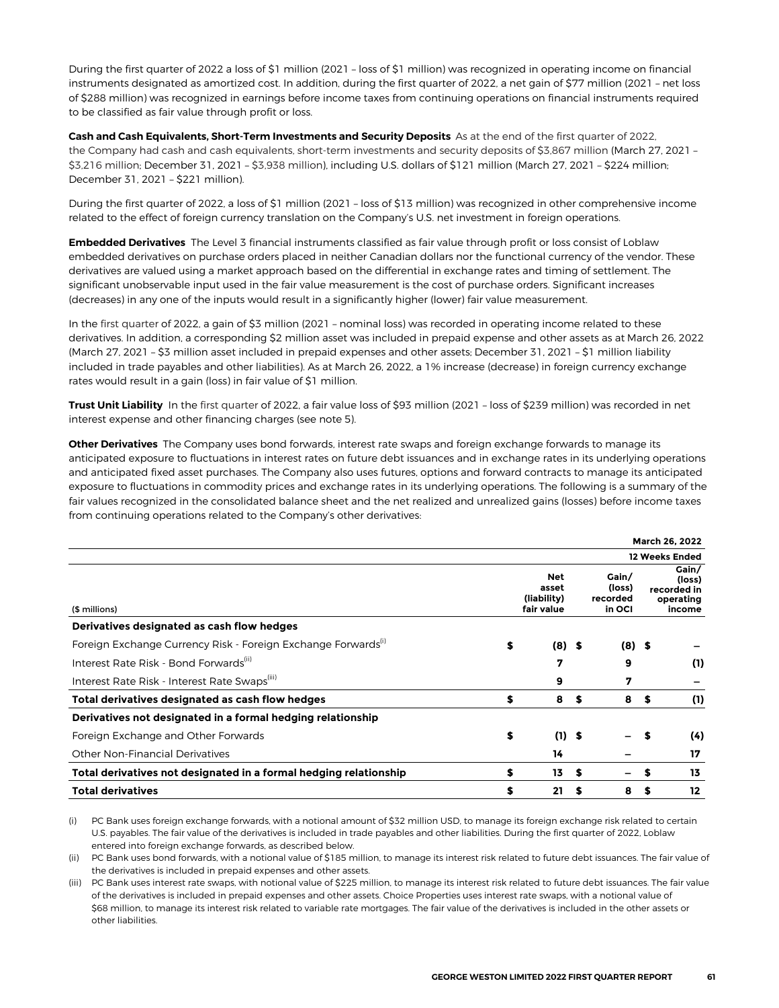During the first quarter of 2022 a loss of \$1 million (2021 – loss of \$1 million) was recognized in operating income on financial instruments designated as amortized cost. In addition, during the first quarter of 2022, a net gain of \$77 million (2021 – net loss of \$288 million) was recognized in earnings before income taxes from continuing operations on financial instruments required to be classified as fair value through profit or loss.

**Cash and Cash Equivalents, Short-Term Investments and Security Deposits** As at the end of the first quarter of 2022, the Company had cash and cash equivalents, short-term investments and security deposits of \$3,867 million (March 27, 2021 – \$3,216 million; December 31, 2021 – \$3,938 million), including U.S. dollars of \$121 million (March 27, 2021 – \$224 million; December 31, 2021 – \$221 million).

During the first quarter of 2022, a loss of \$1 million (2021 – loss of \$13 million) was recognized in other comprehensive income related to the effect of foreign currency translation on the Company's U.S. net investment in foreign operations.

**Embedded Derivatives** The Level 3 financial instruments classified as fair value through profit or loss consist of Loblaw embedded derivatives on purchase orders placed in neither Canadian dollars nor the functional currency of the vendor. These derivatives are valued using a market approach based on the differential in exchange rates and timing of settlement. The significant unobservable input used in the fair value measurement is the cost of purchase orders. Significant increases (decreases) in any one of the inputs would result in a significantly higher (lower) fair value measurement.

In the first quarter of 2022, a gain of \$3 million (2021 - nominal loss) was recorded in operating income related to these derivatives. In addition, a corresponding \$2 million asset was included in prepaid expense and other assets as at March 26, 2022 (March 27, 2021 – \$3 million asset included in prepaid expenses and other assets; December 31, 2021 – \$1 million liability included in trade payables and other liabilities). As at March 26, 2022, a 1% increase (decrease) in foreign currency exchange rates would result in a gain (loss) in fair value of \$1 million.

**Trust Unit Liability** In the first quarter of 2022, a fair value loss of \$93 million (2021 – loss of \$239 million) was recorded in net interest expense and other financing charges (see note 5).

**Other Derivatives** The Company uses bond forwards, interest rate swaps and foreign exchange forwards to manage its anticipated exposure to fluctuations in interest rates on future debt issuances and in exchange rates in its underlying operations and anticipated fixed asset purchases. The Company also uses futures, options and forward contracts to manage its anticipated exposure to fluctuations in commodity prices and exchange rates in its underlying operations. The following is a summary of the fair values recognized in the consolidated balance sheet and the net realized and unrealized gains (losses) before income taxes from continuing operations related to the Company's other derivatives:

|                                                                           |    |                                                  |    |                                       |    | March 26, 2022                                        |
|---------------------------------------------------------------------------|----|--------------------------------------------------|----|---------------------------------------|----|-------------------------------------------------------|
|                                                                           |    |                                                  |    |                                       |    | <b>12 Weeks Ended</b>                                 |
| (\$ millions)                                                             |    | <b>Net</b><br>asset<br>(liability)<br>fair value |    | Gain/<br>(loss)<br>recorded<br>in OCI |    | Gain/<br>(loss)<br>recorded in<br>operating<br>income |
| Derivatives designated as cash flow hedges                                |    |                                                  |    |                                       |    |                                                       |
| Foreign Exchange Currency Risk - Foreign Exchange Forwards <sup>(1)</sup> | S  | $(8)$ \$                                         |    | $(8)$ \$                              |    |                                                       |
| Interest Rate Risk - Bond Forwards <sup>(11)</sup>                        |    | 7                                                |    | 9                                     |    | (1)                                                   |
| Interest Rate Risk - Interest Rate Swaps <sup>(iii)</sup>                 |    | 9                                                |    | 7                                     |    |                                                       |
| Total derivatives designated as cash flow hedges                          | \$ | 8                                                | S  | 8                                     | S. | (1)                                                   |
| Derivatives not designated in a formal hedging relationship               |    |                                                  |    |                                       |    |                                                       |
| Foreign Exchange and Other Forwards                                       | \$ | $(1)$ \$                                         |    |                                       |    | (4)                                                   |
| <b>Other Non-Financial Derivatives</b>                                    |    | 14                                               |    |                                       |    | 17                                                    |
| Total derivatives not designated in a formal hedging relationship         | \$ | 13                                               | S. |                                       | S  | 13                                                    |
| <b>Total derivatives</b>                                                  | S  | 21                                               | S  | 8                                     | s  | 12                                                    |

(i) PC Bank uses foreign exchange forwards, with a notional amount of \$32 million USD, to manage its foreign exchange risk related to certain U.S. payables. The fair value of the derivatives is included in trade payables and other liabilities. During the first quarter of 2022, Loblaw entered into foreign exchange forwards, as described below.

(ii) PC Bank uses bond forwards, with a notional value of \$185 million, to manage its interest risk related to future debt issuances. The fair value of the derivatives is included in prepaid expenses and other assets.

(iii) PC Bank uses interest rate swaps, with notional value of \$225 million, to manage its interest risk related to future debt issuances. The fair value of the derivatives is included in prepaid expenses and other assets. Choice Properties uses interest rate swaps, with a notional value of \$68 million, to manage its interest risk related to variable rate mortgages. The fair value of the derivatives is included in the other assets or other liabilities.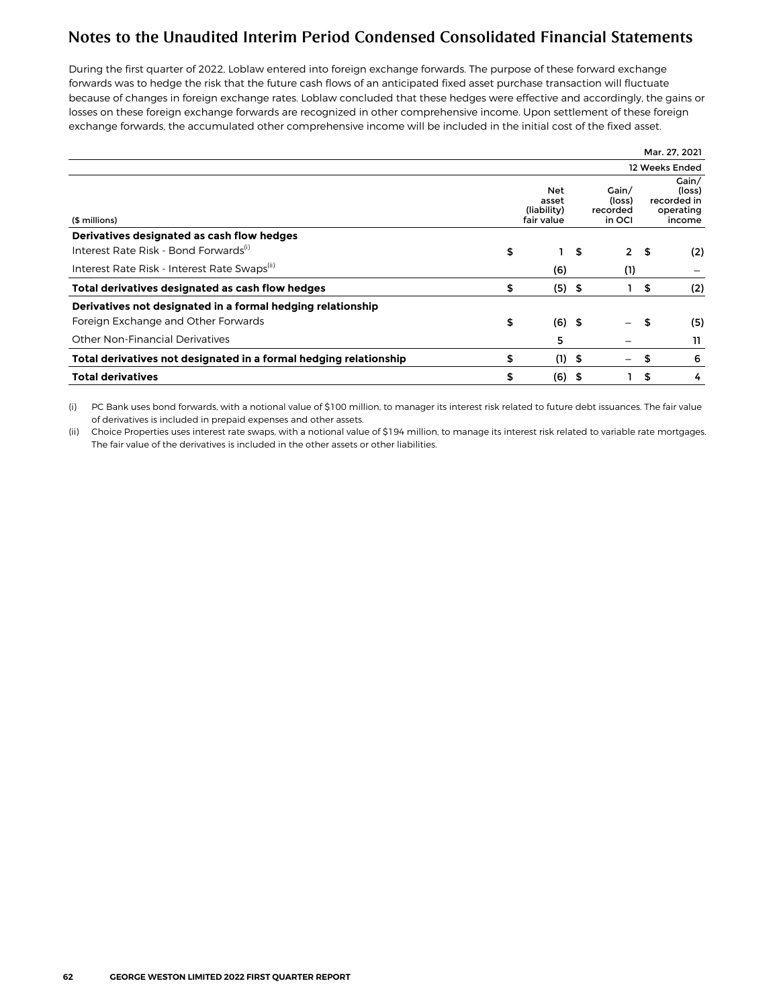During the first quarter of 2022, Loblaw entered into foreign exchange forwards. The purpose of these forward exchange forwards was to hedge the risk that the future cash flows of an anticipated fixed asset purchase transaction will fluctuate because of changes in foreign exchange rates. Loblaw concluded that these hedges were effective and accordingly, the gains or losses on these foreign exchange forwards are recognized in other comprehensive income. Upon settlement of these foreign exchange forwards, the accumulated other comprehensive income will be included in the initial cost of the fixed asset.

| <b>Total derivatives</b>                                          | \$<br>(6)                                 | - \$ |                                       | \$   | 4                                                     |
|-------------------------------------------------------------------|-------------------------------------------|------|---------------------------------------|------|-------------------------------------------------------|
| Total derivatives not designated in a formal hedging relationship | \$<br>$(1)$ \$                            |      | —                                     | \$   | 6                                                     |
| <b>Other Non-Financial Derivatives</b>                            | 5                                         |      |                                       |      | 11                                                    |
| Foreign Exchange and Other Forwards                               | \$<br>$(6)$ \$                            |      | —                                     | \$   | (5)                                                   |
| Derivatives not designated in a formal hedging relationship       |                                           |      |                                       |      |                                                       |
| Total derivatives designated as cash flow hedges                  | \$<br>(5)                                 | - \$ |                                       | \$   | (2)                                                   |
| Interest Rate Risk - Interest Rate Swaps(ii)                      | (6)                                       |      | (1)                                   |      |                                                       |
| Interest Rate Risk - Bond Forwards <sup>(i)</sup>                 | \$                                        | \$   | $\mathbf{2}$                          | - \$ | (2)                                                   |
| Derivatives designated as cash flow hedges                        |                                           |      |                                       |      |                                                       |
| (\$ millions)                                                     | Net<br>asset<br>(liability)<br>fair value |      | Gain/<br>(loss)<br>recorded<br>in OCI |      | Gain/<br>(loss)<br>recorded in<br>operating<br>income |
|                                                                   |                                           |      |                                       |      | 12 Weeks Ended                                        |
|                                                                   |                                           |      |                                       |      | Mar. 27, 2021                                         |

(i) PC Bank uses bond forwards, with a notional value of \$100 million, to manager its interest risk related to future debt issuances. The fair value of derivatives is included in prepaid expenses and other assets.

(ii) Choice Properties uses interest rate swaps, with a notional value of \$194 million, to manage its interest risk related to variable rate mortgages. The fair value of the derivatives is included in the other assets or other liabilities.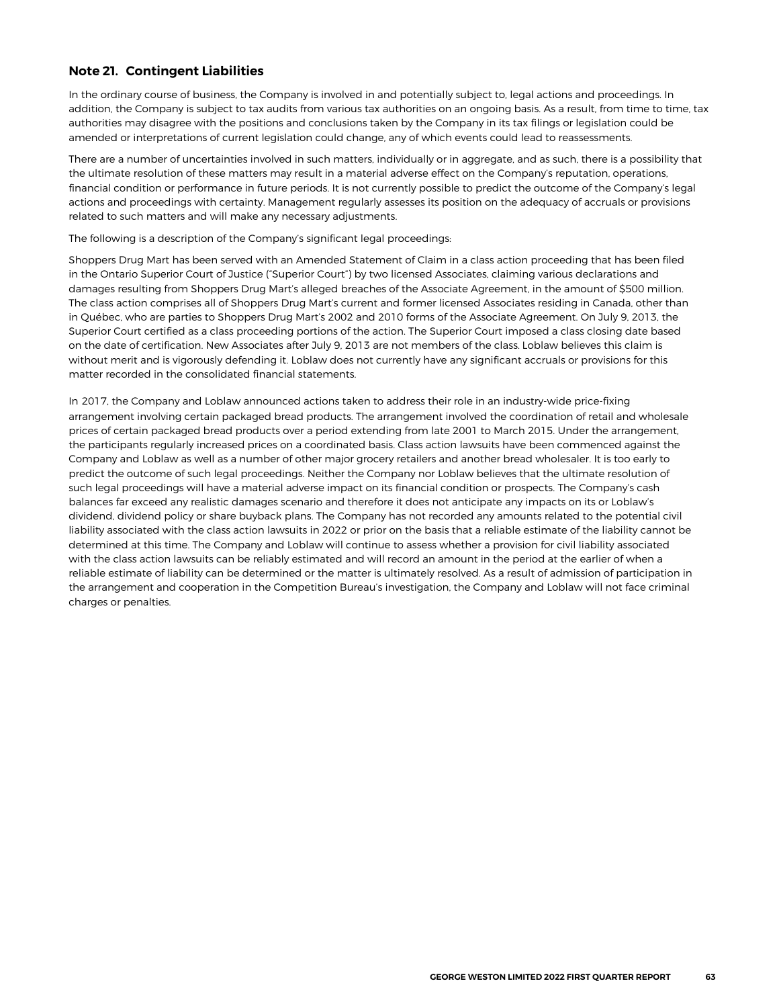### <span id="page-26-0"></span>**Note 21. Contingent Liabilities**

In the ordinary course of business, the Company is involved in and potentially subject to, legal actions and proceedings. In addition, the Company is subject to tax audits from various tax authorities on an ongoing basis. As a result, from time to time, tax authorities may disagree with the positions and conclusions taken by the Company in its tax filings or legislation could be amended or interpretations of current legislation could change, any of which events could lead to reassessments.

There are a number of uncertainties involved in such matters, individually or in aggregate, and as such, there is a possibility that the ultimate resolution of these matters may result in a material adverse effect on the Company's reputation, operations, financial condition or performance in future periods. It is not currently possible to predict the outcome of the Company's legal actions and proceedings with certainty. Management regularly assesses its position on the adequacy of accruals or provisions related to such matters and will make any necessary adjustments.

The following is a description of the Company's significant legal proceedings:

Shoppers Drug Mart has been served with an Amended Statement of Claim in a class action proceeding that has been filed in the Ontario Superior Court of Justice ("Superior Court") by two licensed Associates, claiming various declarations and damages resulting from Shoppers Drug Mart's alleged breaches of the Associate Agreement, in the amount of \$500 million. The class action comprises all of Shoppers Drug Mart's current and former licensed Associates residing in Canada, other than in Québec, who are parties to Shoppers Drug Mart's 2002 and 2010 forms of the Associate Agreement. On July 9, 2013, the Superior Court certified as a class proceeding portions of the action. The Superior Court imposed a class closing date based on the date of certification. New Associates after July 9, 2013 are not members of the class. Loblaw believes this claim is without merit and is vigorously defending it. Loblaw does not currently have any significant accruals or provisions for this matter recorded in the consolidated financial statements.

In 2017, the Company and Loblaw announced actions taken to address their role in an industry-wide price-fixing arrangement involving certain packaged bread products. The arrangement involved the coordination of retail and wholesale prices of certain packaged bread products over a period extending from late 2001 to March 2015. Under the arrangement, the participants regularly increased prices on a coordinated basis. Class action lawsuits have been commenced against the Company and Loblaw as well as a number of other major grocery retailers and another bread wholesaler. It is too early to predict the outcome of such legal proceedings. Neither the Company nor Loblaw believes that the ultimate resolution of such legal proceedings will have a material adverse impact on its financial condition or prospects. The Company's cash balances far exceed any realistic damages scenario and therefore it does not anticipate any impacts on its or Loblaw's dividend, dividend policy or share buyback plans. The Company has not recorded any amounts related to the potential civil liability associated with the class action lawsuits in 2022 or prior on the basis that a reliable estimate of the liability cannot be determined at this time. The Company and Loblaw will continue to assess whether a provision for civil liability associated with the class action lawsuits can be reliably estimated and will record an amount in the period at the earlier of when a reliable estimate of liability can be determined or the matter is ultimately resolved. As a result of admission of participation in the arrangement and cooperation in the Competition Bureau's investigation, the Company and Loblaw will not face criminal charges or penalties.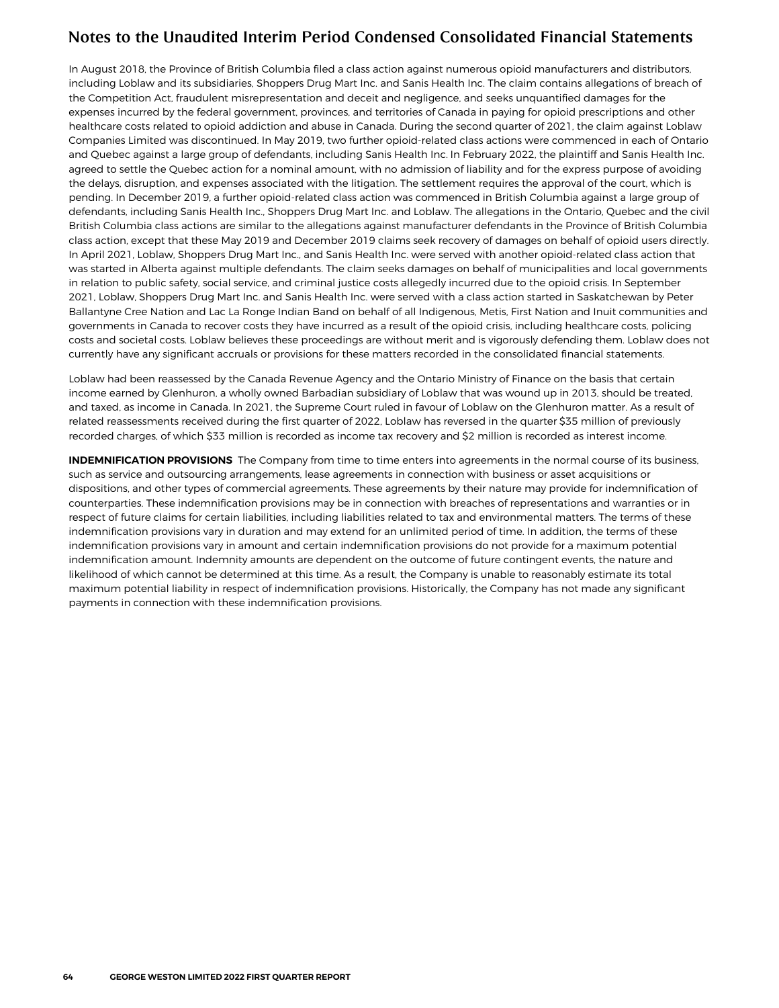In August 2018, the Province of British Columbia filed a class action against numerous opioid manufacturers and distributors, including Loblaw and its subsidiaries, Shoppers Drug Mart Inc. and Sanis Health Inc. The claim contains allegations of breach of the Competition Act, fraudulent misrepresentation and deceit and negligence, and seeks unquantified damages for the expenses incurred by the federal government, provinces, and territories of Canada in paying for opioid prescriptions and other healthcare costs related to opioid addiction and abuse in Canada. During the second quarter of 2021, the claim against Loblaw Companies Limited was discontinued. In May 2019, two further opioid-related class actions were commenced in each of Ontario and Quebec against a large group of defendants, including Sanis Health Inc. In February 2022, the plaintiff and Sanis Health Inc. agreed to settle the Quebec action for a nominal amount, with no admission of liability and for the express purpose of avoiding the delays, disruption, and expenses associated with the litigation. The settlement requires the approval of the court, which is pending. In December 2019, a further opioid-related class action was commenced in British Columbia against a large group of defendants, including Sanis Health Inc., Shoppers Drug Mart Inc. and Loblaw. The allegations in the Ontario, Quebec and the civil British Columbia class actions are similar to the allegations against manufacturer defendants in the Province of British Columbia class action, except that these May 2019 and December 2019 claims seek recovery of damages on behalf of opioid users directly. In April 2021, Loblaw, Shoppers Drug Mart Inc., and Sanis Health Inc. were served with another opioid-related class action that was started in Alberta against multiple defendants. The claim seeks damages on behalf of municipalities and local governments in relation to public safety, social service, and criminal justice costs allegedly incurred due to the opioid crisis. In September 2021, Loblaw, Shoppers Drug Mart Inc. and Sanis Health Inc. were served with a class action started in Saskatchewan by Peter Ballantyne Cree Nation and Lac La Ronge Indian Band on behalf of all Indigenous, Metis, First Nation and Inuit communities and governments in Canada to recover costs they have incurred as a result of the opioid crisis, including healthcare costs, policing costs and societal costs. Loblaw believes these proceedings are without merit and is vigorously defending them. Loblaw does not currently have any significant accruals or provisions for these matters recorded in the consolidated financial statements.

Loblaw had been reassessed by the Canada Revenue Agency and the Ontario Ministry of Finance on the basis that certain income earned by Glenhuron, a wholly owned Barbadian subsidiary of Loblaw that was wound up in 2013, should be treated, and taxed, as income in Canada. In 2021, the Supreme Court ruled in favour of Loblaw on the Glenhuron matter. As a result of related reassessments received during the first quarter of 2022, Loblaw has reversed in the quarter \$35 million of previously recorded charges, of which \$33 million is recorded as income tax recovery and \$2 million is recorded as interest income.

**INDEMNIFICATION PROVISIONS** The Company from time to time enters into agreements in the normal course of its business, such as service and outsourcing arrangements, lease agreements in connection with business or asset acquisitions or dispositions, and other types of commercial agreements. These agreements by their nature may provide for indemnification of counterparties. These indemnification provisions may be in connection with breaches of representations and warranties or in respect of future claims for certain liabilities, including liabilities related to tax and environmental matters. The terms of these indemnification provisions vary in duration and may extend for an unlimited period of time. In addition, the terms of these indemnification provisions vary in amount and certain indemnification provisions do not provide for a maximum potential indemnification amount. Indemnity amounts are dependent on the outcome of future contingent events, the nature and likelihood of which cannot be determined at this time. As a result, the Company is unable to reasonably estimate its total maximum potential liability in respect of indemnification provisions. Historically, the Company has not made any significant payments in connection with these indemnification provisions.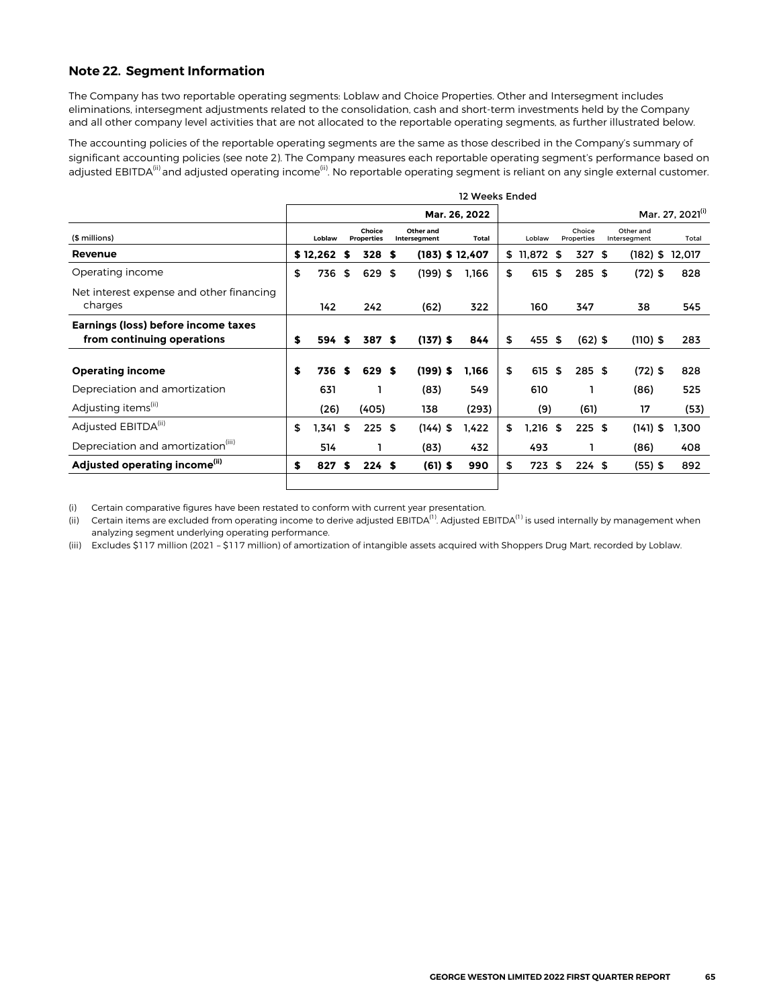#### <span id="page-28-0"></span>**Note 22. Segment Information**

The Company has two reportable operating segments: Loblaw and Choice Properties. Other and Intersegment includes eliminations, intersegment adjustments related to the consolidation, cash and short-term investments held by the Company and all other company level activities that are not allocated to the reportable operating segments, as further illustrated below.

The accounting policies of the reportable operating segments are the same as those described in the Company's summary of significant accounting policies (see note 2). The Company measures each reportable operating segment's performance based on adjusted EBITDA<sup>(ii)</sup> and adjusted operating income<sup>(ii)</sup>. No reportable operating segment is reliant on any single external customer.

|                                                                   | 12 Weeks Ended |            |    |                             |  |                           |  |                   |    |                              |     |                      |      |                           |        |
|-------------------------------------------------------------------|----------------|------------|----|-----------------------------|--|---------------------------|--|-------------------|----|------------------------------|-----|----------------------|------|---------------------------|--------|
|                                                                   |                |            |    |                             |  |                           |  | Mar. 26, 2022     |    | Mar. 27, 2021 <sup>(i)</sup> |     |                      |      |                           |        |
| (\$ millions)                                                     |                | Loblaw     |    | Choice<br><b>Properties</b> |  | Other and<br>Intersegment |  | <b>Total</b>      |    | Loblaw                       |     | Choice<br>Properties |      | Other and<br>Intersegment | Total  |
| Revenue                                                           |                | \$12,262   | S  | 328 \$                      |  |                           |  | $(183)$ \$ 12,407 | \$ | 11,872 \$                    |     | 327                  | - \$ | $(182)$ \$                | 12,017 |
| Operating income                                                  | \$             | 736        | \$ | 629 \$                      |  | $(199)$ \$                |  | 1,166             | \$ | 615                          | \$  | 285S                 |      | $(72)$ \$                 | 828    |
| Net interest expense and other financing<br>charges               |                | 142        |    | 242                         |  | (62)                      |  | 322               |    | 160                          |     | 347                  |      | 38                        | 545    |
| Earnings (loss) before income taxes<br>from continuing operations | \$             | 594 \$     |    | 387 \$                      |  | $(137)$ \$                |  | 844               | \$ | 455 \$                       |     | $(62)$ \$            |      | $(110)$ \$                | 283    |
| <b>Operating income</b>                                           | \$             | 736        | S  | 629 \$                      |  | $(199)$ \$                |  | 1,166             | \$ | 615                          | -\$ | 285S                 |      | $(72)$ \$                 | 828    |
| Depreciation and amortization                                     |                | 631        |    |                             |  | (83)                      |  | 549               |    | 610                          |     |                      |      | (86)                      | 525    |
| Adjusting items <sup>(ii)</sup>                                   |                | (26)       |    | (405)                       |  | 138                       |  | (293)             |    | (9)                          |     | (61)                 |      | 17                        | (53)   |
| Adjusted EBITDA <sup>(ii)</sup>                                   | \$             | $1,341$ \$ |    | 225S                        |  | $(144)$ \$                |  | 1,422             | \$ | 1,216 \$                     |     | 225S                 |      | $(141)$ \$                | 1.300  |
| Depreciation and amortization <sup>(iii)</sup>                    |                | 514        |    |                             |  | (83)                      |  | 432               |    | 493                          |     |                      |      | (86)                      | 408    |
| Adjusted operating income <sup>(ii)</sup>                         | \$             | 827        | S  | 224S                        |  | $(61)$ \$                 |  | 990               | \$ | 723 \$                       |     | 224S                 |      | $(55)$ \$                 | 892    |
|                                                                   |                |            |    |                             |  |                           |  |                   |    |                              |     |                      |      |                           |        |

(i) Certain comparative figures have been restated to conform with current year presentation.

(ii) Certain items are excluded from operating income to derive adjusted EBITDA<sup>(1)</sup>. Adjusted EBITDA<sup>(1)</sup> is used internally by management when analyzing segment underlying operating performance.

(iii) Excludes \$117 million (2021 – \$117 million) of amortization of intangible assets acquired with Shoppers Drug Mart, recorded by Loblaw.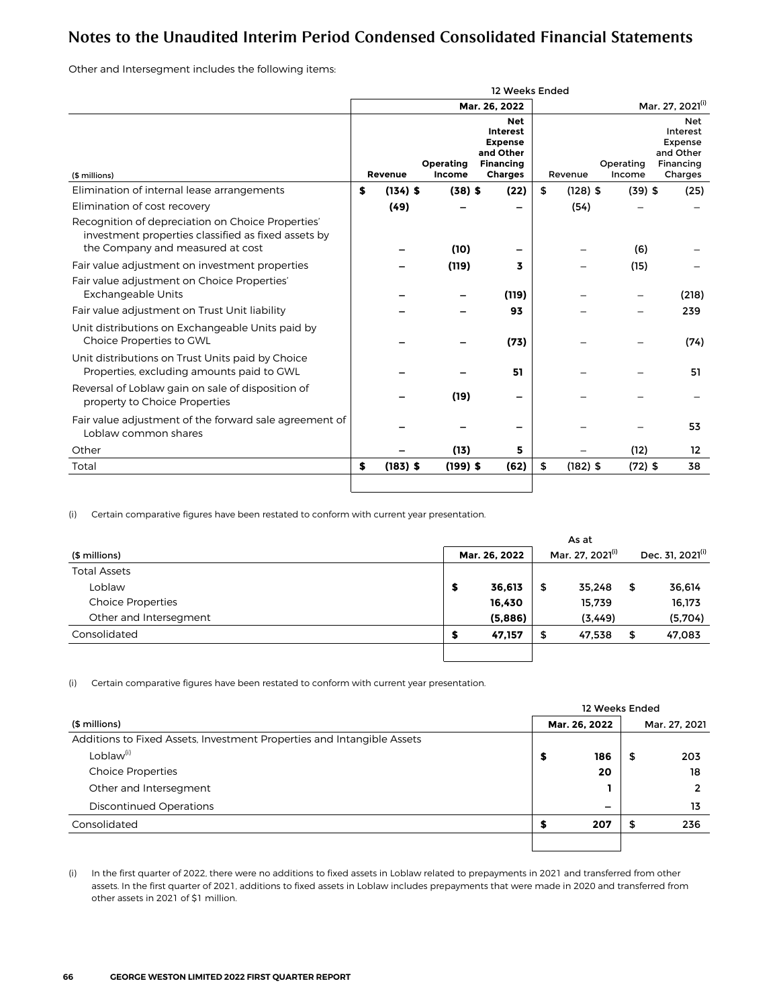Other and Intersegment includes the following items:

|                                                                                                                                              | 12 Weeks Ended |            |                     |                                                                                                    |                  |                              |                                                                               |  |  |  |
|----------------------------------------------------------------------------------------------------------------------------------------------|----------------|------------|---------------------|----------------------------------------------------------------------------------------------------|------------------|------------------------------|-------------------------------------------------------------------------------|--|--|--|
|                                                                                                                                              |                |            |                     | Mar. 26, 2022                                                                                      |                  | Mar. 27, 2021 <sup>(i)</sup> |                                                                               |  |  |  |
| (\$ millions)                                                                                                                                |                | Revenue    | Operating<br>Income | <b>Net</b><br><b>Interest</b><br><b>Expense</b><br>and Other<br><b>Financing</b><br><b>Charges</b> | Revenue          | Operating<br>Income          | <b>Net</b><br>Interest<br><b>Expense</b><br>and Other<br>Financing<br>Charges |  |  |  |
| Elimination of internal lease arrangements                                                                                                   | \$             | $(134)$ \$ | $(38)$ \$           | (22)                                                                                               | \$<br>$(128)$ \$ | $(39)$ \$                    | (25)                                                                          |  |  |  |
| Elimination of cost recovery                                                                                                                 |                | (49)       |                     |                                                                                                    | (54)             |                              |                                                                               |  |  |  |
| Recognition of depreciation on Choice Properties'<br>investment properties classified as fixed assets by<br>the Company and measured at cost |                |            | (10)                |                                                                                                    |                  | (6)                          |                                                                               |  |  |  |
| Fair value adjustment on investment properties                                                                                               |                |            | (119)               | 3                                                                                                  |                  | (15)                         |                                                                               |  |  |  |
| Fair value adjustment on Choice Properties'<br><b>Exchangeable Units</b>                                                                     |                |            |                     | (119)                                                                                              |                  |                              | (218)                                                                         |  |  |  |
| Fair value adjustment on Trust Unit liability                                                                                                |                |            |                     | 93                                                                                                 |                  |                              | 239                                                                           |  |  |  |
| Unit distributions on Exchangeable Units paid by<br>Choice Properties to GWL                                                                 |                |            |                     | (73)                                                                                               |                  |                              | (74)                                                                          |  |  |  |
| Unit distributions on Trust Units paid by Choice<br>Properties, excluding amounts paid to GWL                                                |                |            |                     | 51                                                                                                 |                  |                              | 51                                                                            |  |  |  |
| Reversal of Loblaw gain on sale of disposition of<br>property to Choice Properties                                                           |                |            | (19)                |                                                                                                    |                  |                              |                                                                               |  |  |  |
| Fair value adjustment of the forward sale agreement of<br>Loblaw common shares                                                               |                |            |                     |                                                                                                    |                  |                              | 53                                                                            |  |  |  |
| Other                                                                                                                                        |                |            | (13)                | 5                                                                                                  |                  | (12)                         | 12                                                                            |  |  |  |
| Total                                                                                                                                        | \$             | $(183)$ \$ | $(199)$ \$          | (62)                                                                                               | \$<br>$(182)$ \$ | $(72)$ \$                    | 38                                                                            |  |  |  |
|                                                                                                                                              |                |            |                     |                                                                                                    |                  |                              |                                                                               |  |  |  |

(i) Certain comparative figures have been restated to conform with current year presentation.

|   |         |               | As at    |                              |                              |
|---|---------|---------------|----------|------------------------------|------------------------------|
|   |         |               |          |                              | Dec. 31, 2021 <sup>(i)</sup> |
|   |         |               |          |                              |                              |
| 5 | 36,613  | \$            | 35.248   | \$                           | 36,614                       |
|   | 16,430  |               | 15,739   |                              | 16,173                       |
|   | (5,886) |               | (3, 449) |                              | (5,704)                      |
| S | 47,157  | \$            | 47.538   | \$                           | 47,083                       |
|   |         |               |          |                              |                              |
|   |         | Mar. 26, 2022 |          | Mar. 27, 2021 <sup>(i)</sup> |                              |

(i) Certain comparative figures have been restated to conform with current year presentation.

|                                                                        |    | 12 Weeks Ended |    |               |  |  |  |
|------------------------------------------------------------------------|----|----------------|----|---------------|--|--|--|
| (\$ millions)                                                          |    | Mar. 26, 2022  |    | Mar. 27, 2021 |  |  |  |
| Additions to Fixed Assets, Investment Properties and Intangible Assets |    |                |    |               |  |  |  |
| Loblaw <sup>(i)</sup>                                                  | \$ | 186            | \$ | 203           |  |  |  |
| <b>Choice Properties</b>                                               |    | 20             |    | 18            |  |  |  |
| Other and Intersegment                                                 |    |                |    |               |  |  |  |
| Discontinued Operations                                                |    | -              |    | 13            |  |  |  |
| Consolidated                                                           |    | 207            |    | 236           |  |  |  |
|                                                                        |    |                |    |               |  |  |  |

(i) In the first quarter of 2022, there were no additions to fixed assets in Loblaw related to prepayments in 2021 and transferred from other assets. In the first quarter of 2021, additions to fixed assets in Loblaw includes prepayments that were made in 2020 and transferred from other assets in 2021 of \$1 million.